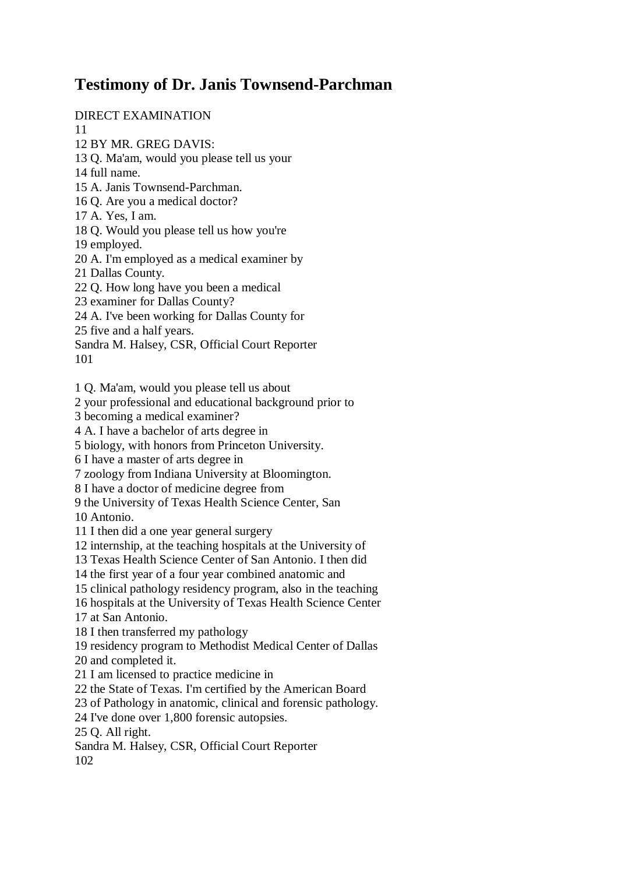## **Testimony of Dr. Janis Townsend-Parchman**

DIRECT EXAMINATION

11

12 BY MR. GREG DAVIS:

13 Q. Ma'am, would you please tell us your

14 full name.

15 A. Janis Townsend-Parchman.

16 Q. Are you a medical doctor?

17 A. Yes, I am.

18 Q. Would you please tell us how you're

19 employed.

20 A. I'm employed as a medical examiner by

21 Dallas County.

22 Q. How long have you been a medical

23 examiner for Dallas County?

24 A. I've been working for Dallas County for

25 five and a half years.

Sandra M. Halsey, CSR, Official Court Reporter 101

1 Q. Ma'am, would you please tell us about

2 your professional and educational background prior to

3 becoming a medical examiner?

4 A. I have a bachelor of arts degree in

5 biology, with honors from Princeton University.

6 I have a master of arts degree in

7 zoology from Indiana University at Bloomington.

8 I have a doctor of medicine degree from

9 the University of Texas Health Science Center, San

10 Antonio.

11 I then did a one year general surgery

12 internship, at the teaching hospitals at the University of

13 Texas Health Science Center of San Antonio. I then did

14 the first year of a four year combined anatomic and

15 clinical pathology residency program, also in the teaching

16 hospitals at the University of Texas Health Science Center 17 at San Antonio.

18 I then transferred my pathology

19 residency program to Methodist Medical Center of Dallas 20 and completed it.

21 I am licensed to practice medicine in

22 the State of Texas. I'm certified by the American Board

23 of Pathology in anatomic, clinical and forensic pathology.

24 I've done over 1,800 forensic autopsies.

25 Q. All right.

Sandra M. Halsey, CSR, Official Court Reporter 102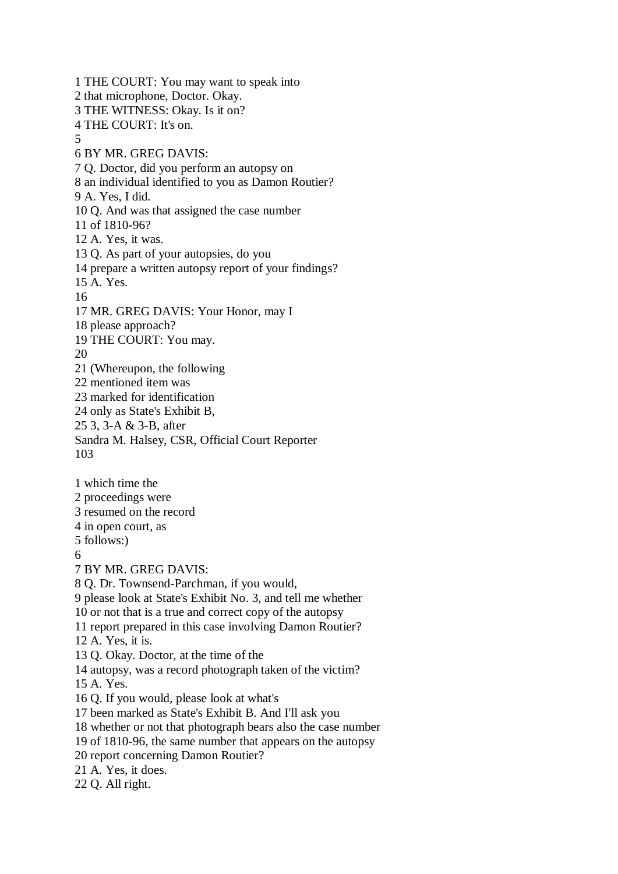1 THE COURT: You may want to speak into 2 that microphone, Doctor. Okay. 3 THE WITNESS: Okay. Is it on? 4 THE COURT: It's on. 5 6 BY MR. GREG DAVIS: 7 Q. Doctor, did you perform an autopsy on 8 an individual identified to you as Damon Routier? 9 A. Yes, I did. 10 Q. And was that assigned the case number 11 of 1810-96? 12 A. Yes, it was. 13 Q. As part of your autopsies, do you 14 prepare a written autopsy report of your findings? 15 A. Yes. 16 17 MR. GREG DAVIS: Your Honor, may I 18 please approach? 19 THE COURT: You may. 20 21 (Whereupon, the following 22 mentioned item was 23 marked for identification 24 only as State's Exhibit B, 25 3, 3-A & 3-B, after Sandra M. Halsey, CSR, Official Court Reporter 103 1 which time the 2 proceedings were 3 resumed on the record 4 in open court, as 5 follows:) 6 7 BY MR. GREG DAVIS: 8 Q. Dr. Townsend-Parchman, if you would, 9 please look at State's Exhibit No. 3, and tell me whether 10 or not that is a true and correct copy of the autopsy 11 report prepared in this case involving Damon Routier? 12 A. Yes, it is. 13 Q. Okay. Doctor, at the time of the 14 autopsy, was a record photograph taken of the victim? 15 A. Yes. 16 Q. If you would, please look at what's 17 been marked as State's Exhibit B. And I'll ask you 18 whether or not that photograph bears also the case number 19 of 1810-96, the same number that appears on the autopsy 20 report concerning Damon Routier? 21 A. Yes, it does. 22 Q. All right.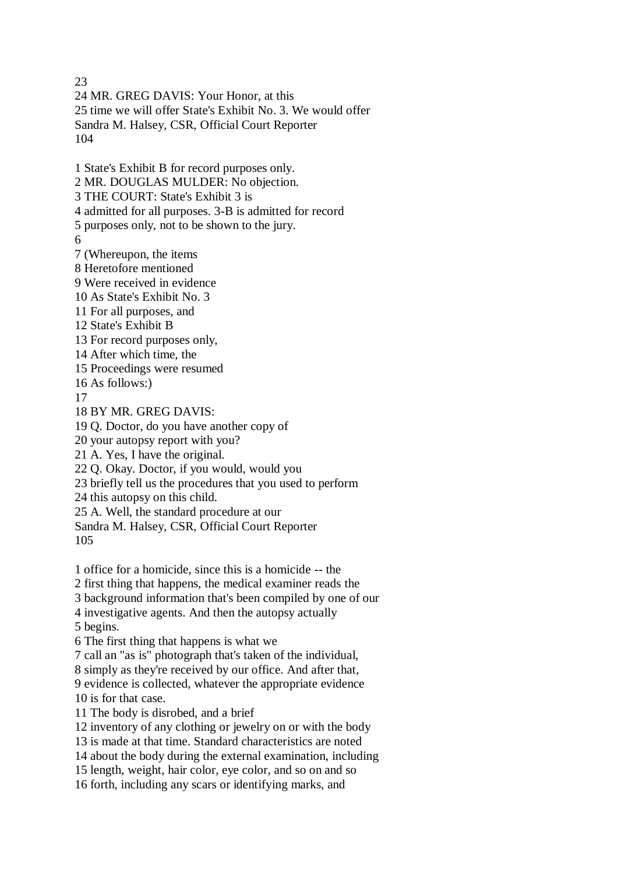23 24 MR. GREG DAVIS: Your Honor, at this 25 time we will offer State's Exhibit No. 3. We would offer Sandra M. Halsey, CSR, Official Court Reporter 104 1 State's Exhibit B for record purposes only. 2 MR. DOUGLAS MULDER: No objection. 3 THE COURT: State's Exhibit 3 is 4 admitted for all purposes. 3-B is admitted for record 5 purposes only, not to be shown to the jury. 6 7 (Whereupon, the items 8 Heretofore mentioned 9 Were received in evidence 10 As State's Exhibit No. 3 11 For all purposes, and 12 State's Exhibit B 13 For record purposes only, 14 After which time, the 15 Proceedings were resumed 16 As follows:) 17 18 BY MR. GREG DAVIS: 19 Q. Doctor, do you have another copy of 20 your autopsy report with you? 21 A. Yes, I have the original. 22 Q. Okay. Doctor, if you would, would you 23 briefly tell us the procedures that you used to perform 24 this autopsy on this child. 25 A. Well, the standard procedure at our Sandra M. Halsey, CSR, Official Court Reporter 105 1 office for a homicide, since this is a homicide -- the 2 first thing that happens, the medical examiner reads the 3 background information that's been compiled by one of our 4 investigative agents. And then the autopsy actually 5 begins. 6 The first thing that happens is what we 7 call an "as is" photograph that's taken of the individual, 8 simply as they're received by our office. And after that, 9 evidence is collected, whatever the appropriate evidence 10 is for that case. 11 The body is disrobed, and a brief 12 inventory of any clothing or jewelry on or with the body 13 is made at that time. Standard characteristics are noted 14 about the body during the external examination, including 15 length, weight, hair color, eye color, and so on and so 16 forth, including any scars or identifying marks, and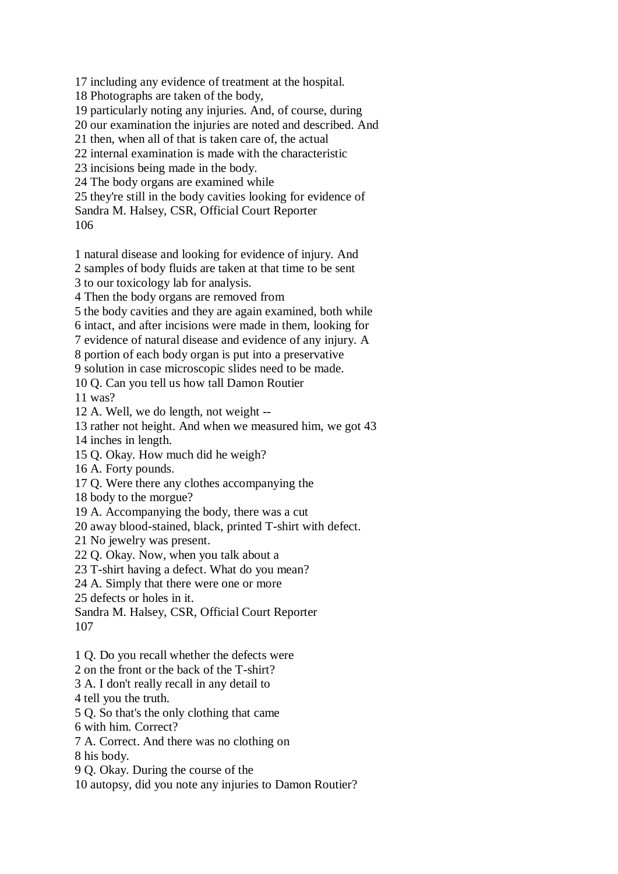17 including any evidence of treatment at the hospital.

18 Photographs are taken of the body,

19 particularly noting any injuries. And, of course, during

20 our examination the injuries are noted and described. And

21 then, when all of that is taken care of, the actual

22 internal examination is made with the characteristic

23 incisions being made in the body.

24 The body organs are examined while

25 they're still in the body cavities looking for evidence of Sandra M. Halsey, CSR, Official Court Reporter

106

1 natural disease and looking for evidence of injury. And

2 samples of body fluids are taken at that time to be sent

3 to our toxicology lab for analysis.

4 Then the body organs are removed from

5 the body cavities and they are again examined, both while

6 intact, and after incisions were made in them, looking for

7 evidence of natural disease and evidence of any injury. A

8 portion of each body organ is put into a preservative

9 solution in case microscopic slides need to be made.

10 Q. Can you tell us how tall Damon Routier

11 was?

12 A. Well, we do length, not weight --

13 rather not height. And when we measured him, we got 43

14 inches in length.

15 Q. Okay. How much did he weigh?

16 A. Forty pounds.

17 Q. Were there any clothes accompanying the

18 body to the morgue?

19 A. Accompanying the body, there was a cut

20 away blood-stained, black, printed T-shirt with defect.

21 No jewelry was present.

22 Q. Okay. Now, when you talk about a

23 T-shirt having a defect. What do you mean?

24 A. Simply that there were one or more

25 defects or holes in it.

Sandra M. Halsey, CSR, Official Court Reporter 107

1 Q. Do you recall whether the defects were

2 on the front or the back of the T-shirt?

3 A. I don't really recall in any detail to

4 tell you the truth.

5 Q. So that's the only clothing that came

6 with him. Correct?

7 A. Correct. And there was no clothing on

8 his body.

9 Q. Okay. During the course of the

10 autopsy, did you note any injuries to Damon Routier?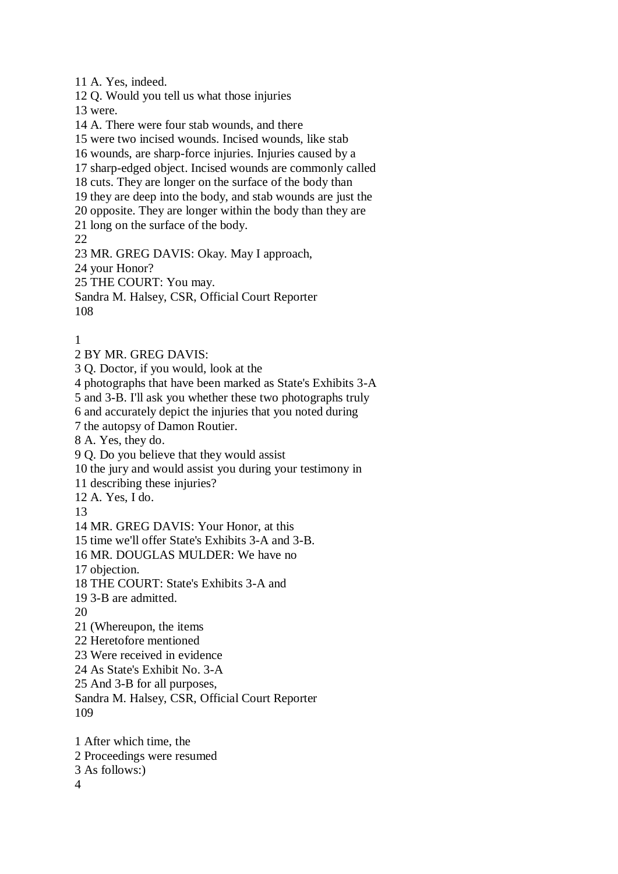11 A. Yes, indeed. 12 Q. Would you tell us what those injuries 13 were. 14 A. There were four stab wounds, and there 15 were two incised wounds. Incised wounds, like stab 16 wounds, are sharp-force injuries. Injuries caused by a 17 sharp-edged object. Incised wounds are commonly called 18 cuts. They are longer on the surface of the body than 19 they are deep into the body, and stab wounds are just the 20 opposite. They are longer within the body than they are 21 long on the surface of the body. 22 23 MR. GREG DAVIS: Okay. May I approach, 24 your Honor? 25 THE COURT: You may. Sandra M. Halsey, CSR, Official Court Reporter 108 1 2 BY MR. GREG DAVIS: 3 Q. Doctor, if you would, look at the 4 photographs that have been marked as State's Exhibits 3-A 5 and 3-B. I'll ask you whether these two photographs truly 6 and accurately depict the injuries that you noted during 7 the autopsy of Damon Routier. 8 A. Yes, they do. 9 Q. Do you believe that they would assist 10 the jury and would assist you during your testimony in 11 describing these injuries? 12 A. Yes, I do. 13 14 MR. GREG DAVIS: Your Honor, at this 15 time we'll offer State's Exhibits 3-A and 3-B. 16 MR. DOUGLAS MULDER: We have no 17 objection. 18 THE COURT: State's Exhibits 3-A and 19 3-B are admitted. 20 21 (Whereupon, the items 22 Heretofore mentioned 23 Were received in evidence 24 As State's Exhibit No. 3-A 25 And 3-B for all purposes, Sandra M. Halsey, CSR, Official Court Reporter 109 1 After which time, the 2 Proceedings were resumed 3 As follows:) 4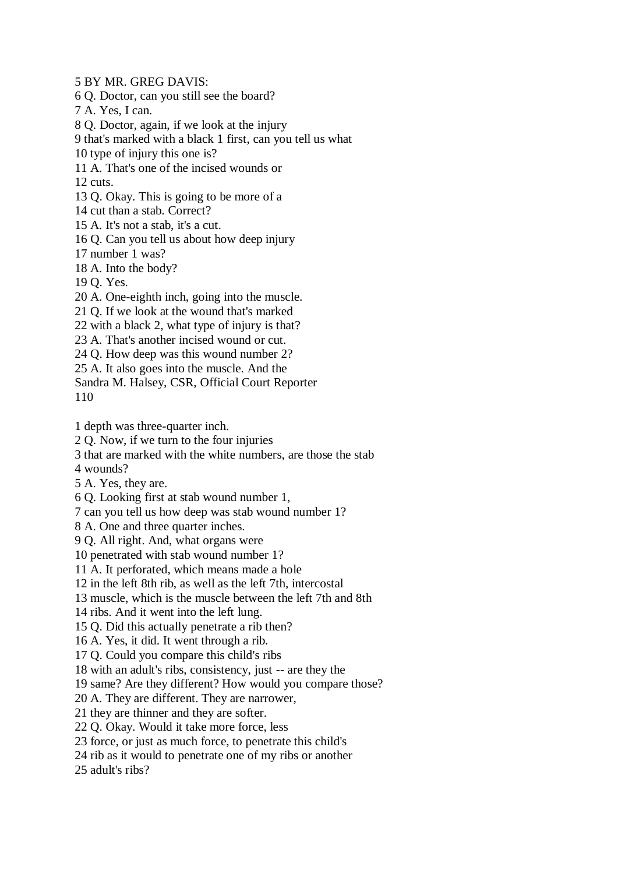5 BY MR. GREG DAVIS:

6 Q. Doctor, can you still see the board?

7 A. Yes, I can.

8 Q. Doctor, again, if we look at the injury

9 that's marked with a black 1 first, can you tell us what

10 type of injury this one is?

11 A. That's one of the incised wounds or

12 cuts.

13 Q. Okay. This is going to be more of a

14 cut than a stab. Correct?

15 A. It's not a stab, it's a cut.

16 Q. Can you tell us about how deep injury

17 number 1 was?

18 A. Into the body?

19 Q. Yes.

20 A. One-eighth inch, going into the muscle.

21 Q. If we look at the wound that's marked

22 with a black 2, what type of injury is that?

23 A. That's another incised wound or cut.

24 Q. How deep was this wound number 2?

25 A. It also goes into the muscle. And the

Sandra M. Halsey, CSR, Official Court Reporter 110

1 depth was three-quarter inch.

2 Q. Now, if we turn to the four injuries

3 that are marked with the white numbers, are those the stab

4 wounds?

5 A. Yes, they are.

6 Q. Looking first at stab wound number 1,

7 can you tell us how deep was stab wound number 1?

8 A. One and three quarter inches.

9 Q. All right. And, what organs were

10 penetrated with stab wound number 1?

11 A. It perforated, which means made a hole

12 in the left 8th rib, as well as the left 7th, intercostal

13 muscle, which is the muscle between the left 7th and 8th

14 ribs. And it went into the left lung.

15 Q. Did this actually penetrate a rib then?

16 A. Yes, it did. It went through a rib.

17 Q. Could you compare this child's ribs

18 with an adult's ribs, consistency, just -- are they the

19 same? Are they different? How would you compare those?

20 A. They are different. They are narrower,

21 they are thinner and they are softer.

22 Q. Okay. Would it take more force, less

23 force, or just as much force, to penetrate this child's

24 rib as it would to penetrate one of my ribs or another

25 adult's ribs?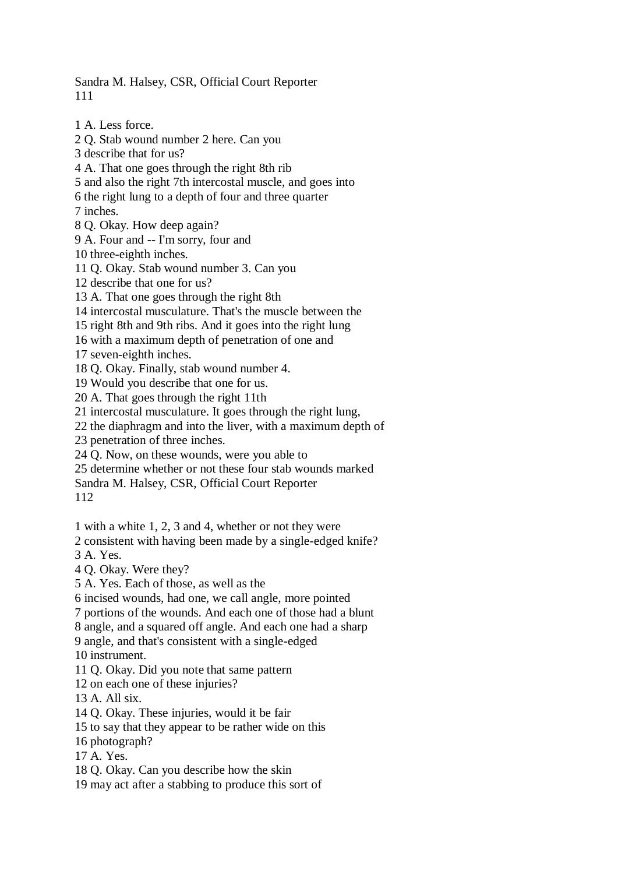Sandra M. Halsey, CSR, Official Court Reporter 111

1 A. Less force.

2 Q. Stab wound number 2 here. Can you 3 describe that for us? 4 A. That one goes through the right 8th rib 5 and also the right 7th intercostal muscle, and goes into 6 the right lung to a depth of four and three quarter 7 inches. 8 Q. Okay. How deep again? 9 A. Four and -- I'm sorry, four and 10 three-eighth inches. 11 Q. Okay. Stab wound number 3. Can you 12 describe that one for us? 13 A. That one goes through the right 8th 14 intercostal musculature. That's the muscle between the 15 right 8th and 9th ribs. And it goes into the right lung 16 with a maximum depth of penetration of one and 17 seven-eighth inches. 18 Q. Okay. Finally, stab wound number 4. 19 Would you describe that one for us. 20 A. That goes through the right 11th 21 intercostal musculature. It goes through the right lung, 22 the diaphragm and into the liver, with a maximum depth of 23 penetration of three inches. 24 Q. Now, on these wounds, were you able to 25 determine whether or not these four stab wounds marked Sandra M. Halsey, CSR, Official Court Reporter 112 1 with a white 1, 2, 3 and 4, whether or not they were 2 consistent with having been made by a single-edged knife? 3 A. Yes. 4 Q. Okay. Were they? 5 A. Yes. Each of those, as well as the 6 incised wounds, had one, we call angle, more pointed 7 portions of the wounds. And each one of those had a blunt 8 angle, and a squared off angle. And each one had a sharp 9 angle, and that's consistent with a single-edged 10 instrument. 11 Q. Okay. Did you note that same pattern 12 on each one of these injuries? 13 A. All six. 14 Q. Okay. These injuries, would it be fair 15 to say that they appear to be rather wide on this 16 photograph? 17 A. Yes. 18 Q. Okay. Can you describe how the skin 19 may act after a stabbing to produce this sort of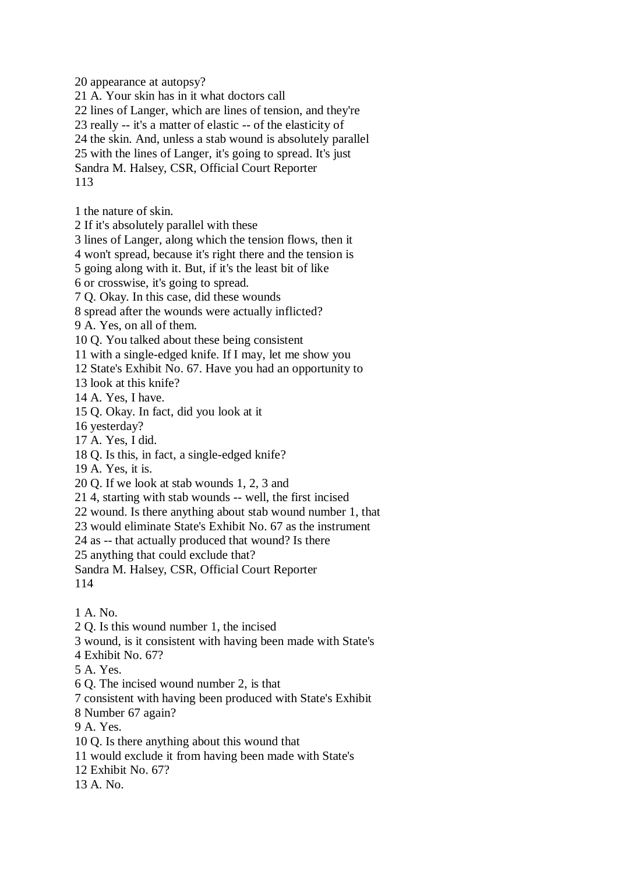20 appearance at autopsy?

21 A. Your skin has in it what doctors call

22 lines of Langer, which are lines of tension, and they're

23 really -- it's a matter of elastic -- of the elasticity of

24 the skin. And, unless a stab wound is absolutely parallel

25 with the lines of Langer, it's going to spread. It's just

Sandra M. Halsey, CSR, Official Court Reporter 113

1 the nature of skin.

2 If it's absolutely parallel with these

3 lines of Langer, along which the tension flows, then it

4 won't spread, because it's right there and the tension is

5 going along with it. But, if it's the least bit of like

6 or crosswise, it's going to spread.

7 Q. Okay. In this case, did these wounds

8 spread after the wounds were actually inflicted?

9 A. Yes, on all of them.

10 Q. You talked about these being consistent

11 with a single-edged knife. If I may, let me show you

12 State's Exhibit No. 67. Have you had an opportunity to

13 look at this knife?

14 A. Yes, I have.

15 Q. Okay. In fact, did you look at it

16 yesterday?

17 A. Yes, I did.

18 Q. Is this, in fact, a single-edged knife?

19 A. Yes, it is.

20 Q. If we look at stab wounds 1, 2, 3 and

21 4, starting with stab wounds -- well, the first incised

22 wound. Is there anything about stab wound number 1, that

23 would eliminate State's Exhibit No. 67 as the instrument

24 as -- that actually produced that wound? Is there

25 anything that could exclude that?

Sandra M. Halsey, CSR, Official Court Reporter 114

1 A. No.

2 Q. Is this wound number 1, the incised

3 wound, is it consistent with having been made with State's

4 Exhibit No. 67?

5 A. Yes.

6 Q. The incised wound number 2, is that

7 consistent with having been produced with State's Exhibit

8 Number 67 again?

9 A. Yes.

10 Q. Is there anything about this wound that

11 would exclude it from having been made with State's

12 Exhibit No. 67?

13 A. No.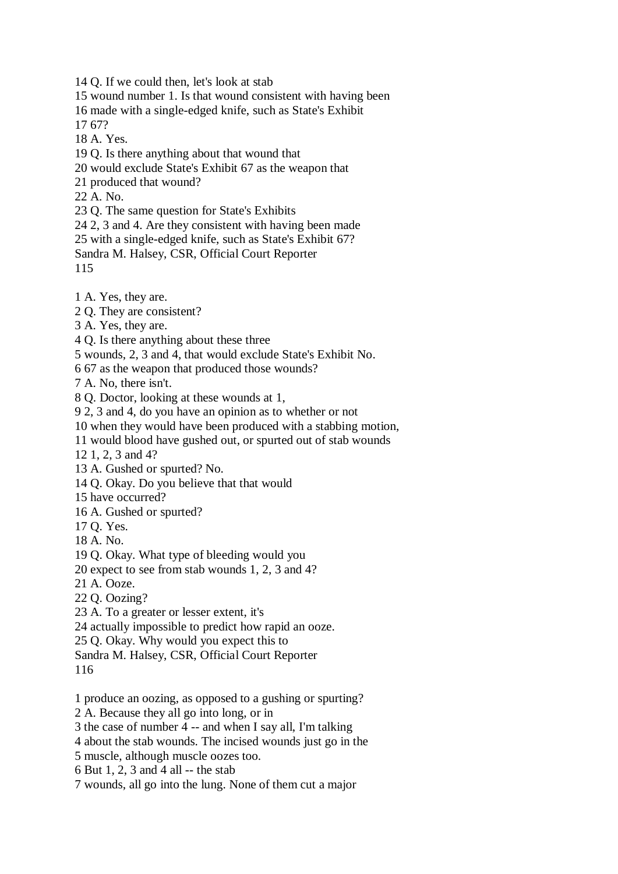14 Q. If we could then, let's look at stab

15 wound number 1. Is that wound consistent with having been

16 made with a single-edged knife, such as State's Exhibit

17 67?

18 A. Yes.

19 Q. Is there anything about that wound that

20 would exclude State's Exhibit 67 as the weapon that

21 produced that wound?

22 A. No.

23 Q. The same question for State's Exhibits

24 2, 3 and 4. Are they consistent with having been made

25 with a single-edged knife, such as State's Exhibit 67?

Sandra M. Halsey, CSR, Official Court Reporter

115

1 A. Yes, they are.

2 Q. They are consistent?

3 A. Yes, they are.

4 Q. Is there anything about these three

5 wounds, 2, 3 and 4, that would exclude State's Exhibit No.

6 67 as the weapon that produced those wounds?

7 A. No, there isn't.

8 Q. Doctor, looking at these wounds at 1,

9 2, 3 and 4, do you have an opinion as to whether or not

10 when they would have been produced with a stabbing motion,

11 would blood have gushed out, or spurted out of stab wounds

12 1, 2, 3 and 4?

13 A. Gushed or spurted? No.

14 Q. Okay. Do you believe that that would

15 have occurred?

16 A. Gushed or spurted?

17 Q. Yes.

18 A. No.

19 Q. Okay. What type of bleeding would you

20 expect to see from stab wounds 1, 2, 3 and 4?

21 A. Ooze.

22 Q. Oozing?

23 A. To a greater or lesser extent, it's

24 actually impossible to predict how rapid an ooze.

25 Q. Okay. Why would you expect this to

Sandra M. Halsey, CSR, Official Court Reporter

116

1 produce an oozing, as opposed to a gushing or spurting?

2 A. Because they all go into long, or in

3 the case of number 4 -- and when I say all, I'm talking

4 about the stab wounds. The incised wounds just go in the

5 muscle, although muscle oozes too.

6 But 1, 2, 3 and 4 all -- the stab

7 wounds, all go into the lung. None of them cut a major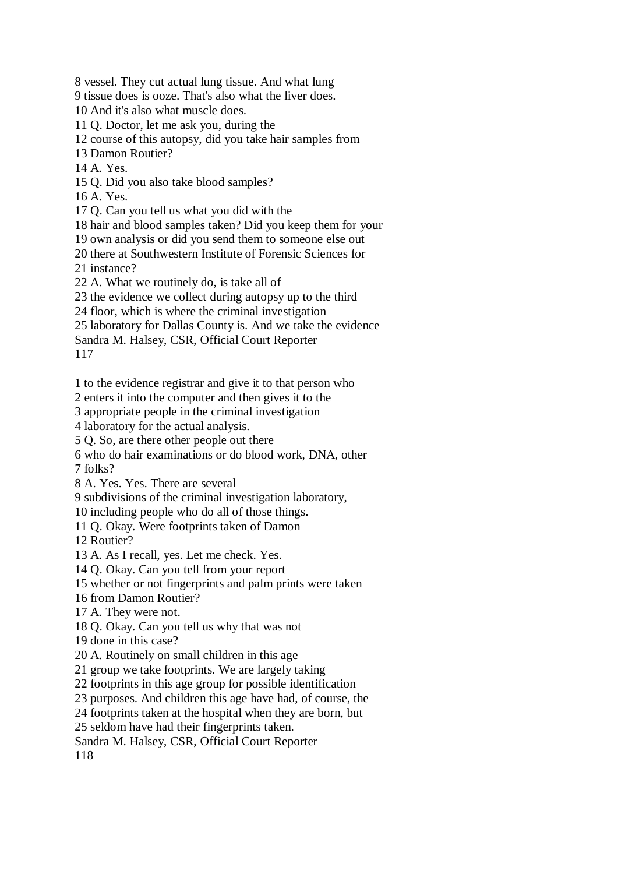8 vessel. They cut actual lung tissue. And what lung

9 tissue does is ooze. That's also what the liver does.

10 And it's also what muscle does.

11 Q. Doctor, let me ask you, during the

12 course of this autopsy, did you take hair samples from

13 Damon Routier?

14 A. Yes.

15 Q. Did you also take blood samples?

16 A. Yes.

17 Q. Can you tell us what you did with the

18 hair and blood samples taken? Did you keep them for your

19 own analysis or did you send them to someone else out

20 there at Southwestern Institute of Forensic Sciences for

21 instance?

22 A. What we routinely do, is take all of

23 the evidence we collect during autopsy up to the third

24 floor, which is where the criminal investigation

25 laboratory for Dallas County is. And we take the evidence

Sandra M. Halsey, CSR, Official Court Reporter

117

1 to the evidence registrar and give it to that person who

2 enters it into the computer and then gives it to the

3 appropriate people in the criminal investigation

4 laboratory for the actual analysis.

5 Q. So, are there other people out there

6 who do hair examinations or do blood work, DNA, other 7 folks?

8 A. Yes. Yes. There are several

9 subdivisions of the criminal investigation laboratory,

10 including people who do all of those things.

11 Q. Okay. Were footprints taken of Damon

12 Routier?

13 A. As I recall, yes. Let me check. Yes.

14 Q. Okay. Can you tell from your report

15 whether or not fingerprints and palm prints were taken

16 from Damon Routier?

17 A. They were not.

18 Q. Okay. Can you tell us why that was not

19 done in this case?

20 A. Routinely on small children in this age

21 group we take footprints. We are largely taking

22 footprints in this age group for possible identification

23 purposes. And children this age have had, of course, the

24 footprints taken at the hospital when they are born, but

25 seldom have had their fingerprints taken.

Sandra M. Halsey, CSR, Official Court Reporter

118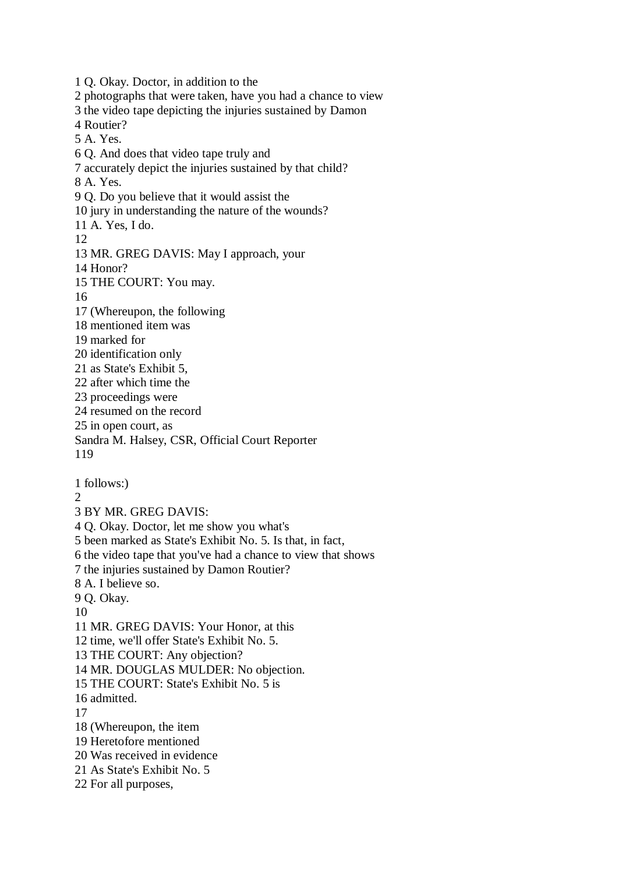1 Q. Okay. Doctor, in addition to the 2 photographs that were taken, have you had a chance to view 3 the video tape depicting the injuries sustained by Damon 4 Routier? 5 A. Yes. 6 Q. And does that video tape truly and 7 accurately depict the injuries sustained by that child? 8 A. Yes. 9 Q. Do you believe that it would assist the 10 jury in understanding the nature of the wounds? 11 A. Yes, I do. 12 13 MR. GREG DAVIS: May I approach, your 14 Honor? 15 THE COURT: You may. 16 17 (Whereupon, the following 18 mentioned item was 19 marked for 20 identification only 21 as State's Exhibit 5, 22 after which time the 23 proceedings were 24 resumed on the record 25 in open court, as Sandra M. Halsey, CSR, Official Court Reporter 119 1 follows:) 2 3 BY MR. GREG DAVIS: 4 Q. Okay. Doctor, let me show you what's 5 been marked as State's Exhibit No. 5. Is that, in fact, 6 the video tape that you've had a chance to view that shows 7 the injuries sustained by Damon Routier? 8 A. I believe so. 9 Q. Okay. 10 11 MR. GREG DAVIS: Your Honor, at this 12 time, we'll offer State's Exhibit No. 5. 13 THE COURT: Any objection? 14 MR. DOUGLAS MULDER: No objection. 15 THE COURT: State's Exhibit No. 5 is 16 admitted. 17 18 (Whereupon, the item 19 Heretofore mentioned 20 Was received in evidence 21 As State's Exhibit No. 5 22 For all purposes,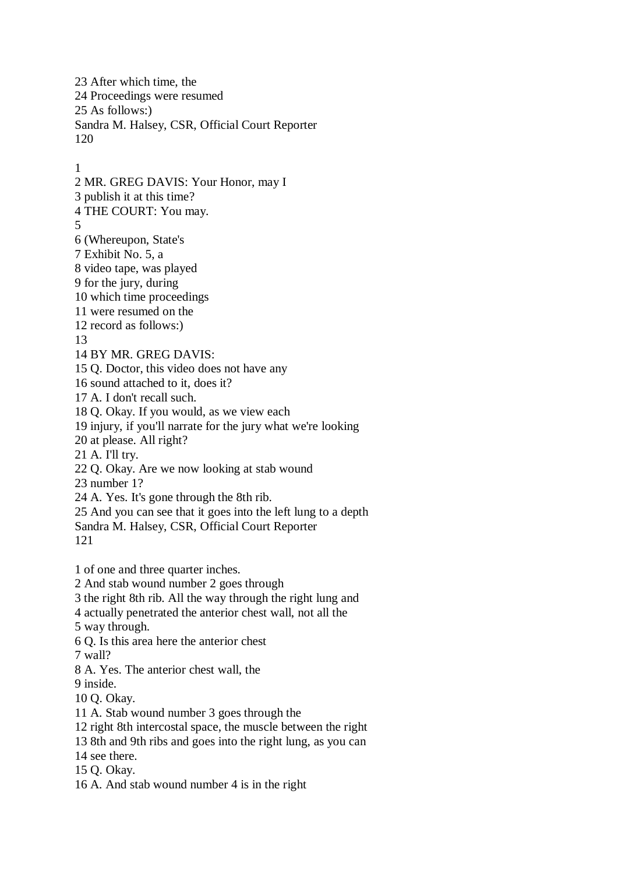23 After which time, the 24 Proceedings were resumed 25 As follows:) Sandra M. Halsey, CSR, Official Court Reporter 120

1

2 MR. GREG DAVIS: Your Honor, may I 3 publish it at this time? 4 THE COURT: You may. 5 6 (Whereupon, State's 7 Exhibit No. 5, a 8 video tape, was played 9 for the jury, during 10 which time proceedings 11 were resumed on the 12 record as follows:) 13 14 BY MR. GREG DAVIS: 15 Q. Doctor, this video does not have any 16 sound attached to it, does it? 17 A. I don't recall such. 18 Q. Okay. If you would, as we view each 19 injury, if you'll narrate for the jury what we're looking 20 at please. All right? 21 A. I'll try. 22 Q. Okay. Are we now looking at stab wound 23 number 1? 24 A. Yes. It's gone through the 8th rib. 25 And you can see that it goes into the left lung to a depth Sandra M. Halsey, CSR, Official Court Reporter 121 1 of one and three quarter inches. 2 And stab wound number 2 goes through 3 the right 8th rib. All the way through the right lung and 4 actually penetrated the anterior chest wall, not all the 5 way through. 6 Q. Is this area here the anterior chest 7 wall? 8 A. Yes. The anterior chest wall, the 9 inside. 10 Q. Okay. 11 A. Stab wound number 3 goes through the 12 right 8th intercostal space, the muscle between the right 13 8th and 9th ribs and goes into the right lung, as you can 14 see there. 15 Q. Okay. 16 A. And stab wound number 4 is in the right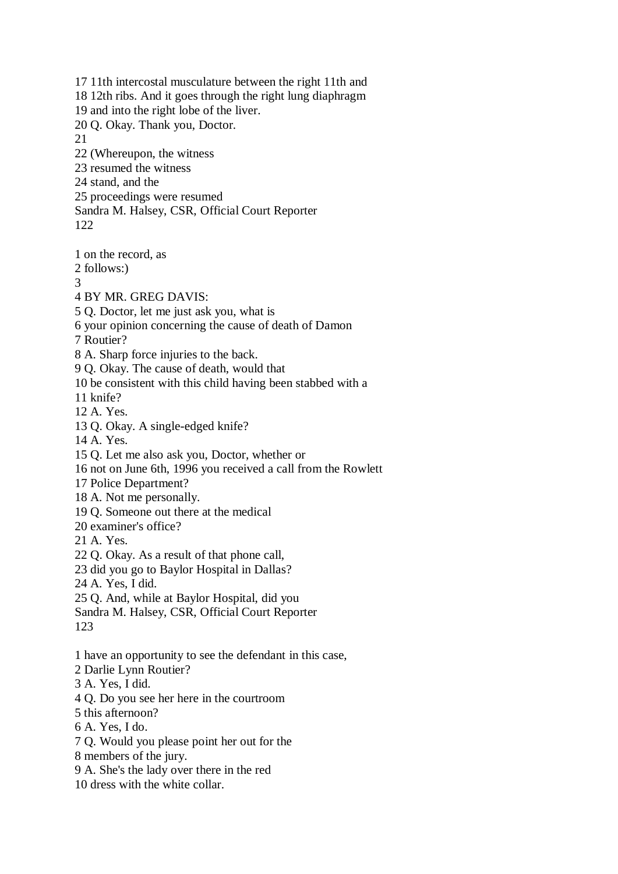17 11th intercostal musculature between the right 11th and 18 12th ribs. And it goes through the right lung diaphragm 19 and into the right lobe of the liver. 20 Q. Okay. Thank you, Doctor. 21 22 (Whereupon, the witness 23 resumed the witness 24 stand, and the 25 proceedings were resumed Sandra M. Halsey, CSR, Official Court Reporter 122

1 on the record, as

2 follows:)

3

4 BY MR. GREG DAVIS:

5 Q. Doctor, let me just ask you, what is

6 your opinion concerning the cause of death of Damon

7 Routier?

8 A. Sharp force injuries to the back.

9 Q. Okay. The cause of death, would that

10 be consistent with this child having been stabbed with a

11 knife?

12 A. Yes.

13 Q. Okay. A single-edged knife?

14 A. Yes.

15 Q. Let me also ask you, Doctor, whether or

16 not on June 6th, 1996 you received a call from the Rowlett

17 Police Department?

18 A. Not me personally.

19 Q. Someone out there at the medical

20 examiner's office?

21 A. Yes.

22 Q. Okay. As a result of that phone call,

23 did you go to Baylor Hospital in Dallas?

24 A. Yes, I did.

25 Q. And, while at Baylor Hospital, did you

Sandra M. Halsey, CSR, Official Court Reporter

123

1 have an opportunity to see the defendant in this case,

2 Darlie Lynn Routier?

3 A. Yes, I did.

4 Q. Do you see her here in the courtroom

5 this afternoon?

6 A. Yes, I do.

7 Q. Would you please point her out for the

8 members of the jury.

9 A. She's the lady over there in the red

10 dress with the white collar.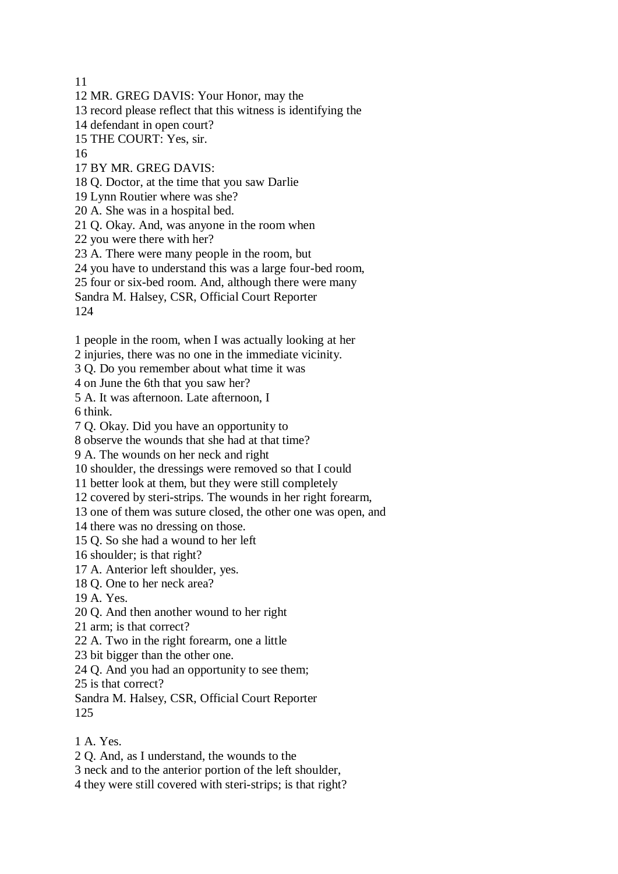11

- 12 MR. GREG DAVIS: Your Honor, may the
- 13 record please reflect that this witness is identifying the
- 14 defendant in open court?
- 15 THE COURT: Yes, sir.
- 16
- 17 BY MR. GREG DAVIS:
- 18 Q. Doctor, at the time that you saw Darlie
- 19 Lynn Routier where was she?
- 20 A. She was in a hospital bed.
- 21 Q. Okay. And, was anyone in the room when
- 22 you were there with her?
- 23 A. There were many people in the room, but
- 24 you have to understand this was a large four-bed room,
- 25 four or six-bed room. And, although there were many
- Sandra M. Halsey, CSR, Official Court Reporter
- 124
- 1 people in the room, when I was actually looking at her
- 2 injuries, there was no one in the immediate vicinity.
- 3 Q. Do you remember about what time it was
- 4 on June the 6th that you saw her?
- 5 A. It was afternoon. Late afternoon, I
- 6 think.
- 7 Q. Okay. Did you have an opportunity to
- 8 observe the wounds that she had at that time?
- 9 A. The wounds on her neck and right
- 10 shoulder, the dressings were removed so that I could
- 11 better look at them, but they were still completely
- 12 covered by steri-strips. The wounds in her right forearm,
- 13 one of them was suture closed, the other one was open, and
- 14 there was no dressing on those.
- 15 Q. So she had a wound to her left
- 16 shoulder; is that right?
- 17 A. Anterior left shoulder, yes.
- 18 Q. One to her neck area?
- 19 A. Yes.
- 20 Q. And then another wound to her right
- 21 arm; is that correct?
- 22 A. Two in the right forearm, one a little
- 23 bit bigger than the other one.
- 24 Q. And you had an opportunity to see them;
- 25 is that correct?
- Sandra M. Halsey, CSR, Official Court Reporter 125
- 1 A. Yes.
- 2 Q. And, as I understand, the wounds to the
- 3 neck and to the anterior portion of the left shoulder,
- 4 they were still covered with steri-strips; is that right?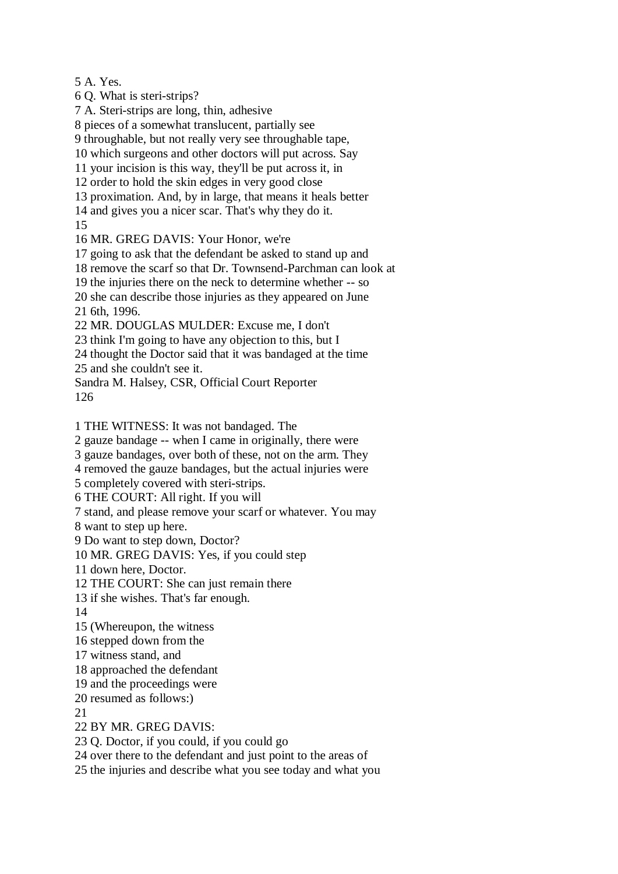5 A. Yes.

6 Q. What is steri-strips?

7 A. Steri-strips are long, thin, adhesive

8 pieces of a somewhat translucent, partially see

9 throughable, but not really very see throughable tape,

10 which surgeons and other doctors will put across. Say

11 your incision is this way, they'll be put across it, in

12 order to hold the skin edges in very good close

13 proximation. And, by in large, that means it heals better

14 and gives you a nicer scar. That's why they do it.

15

16 MR. GREG DAVIS: Your Honor, we're

17 going to ask that the defendant be asked to stand up and

18 remove the scarf so that Dr. Townsend-Parchman can look at

19 the injuries there on the neck to determine whether -- so

20 she can describe those injuries as they appeared on June 21 6th, 1996.

22 MR. DOUGLAS MULDER: Excuse me, I don't

23 think I'm going to have any objection to this, but I

24 thought the Doctor said that it was bandaged at the time

25 and she couldn't see it.

Sandra M. Halsey, CSR, Official Court Reporter 126

1 THE WITNESS: It was not bandaged. The

2 gauze bandage -- when I came in originally, there were

3 gauze bandages, over both of these, not on the arm. They

4 removed the gauze bandages, but the actual injuries were

5 completely covered with steri-strips.

6 THE COURT: All right. If you will

7 stand, and please remove your scarf or whatever. You may

8 want to step up here.

9 Do want to step down, Doctor?

10 MR. GREG DAVIS: Yes, if you could step

11 down here, Doctor.

12 THE COURT: She can just remain there

13 if she wishes. That's far enough.

14

15 (Whereupon, the witness

16 stepped down from the

17 witness stand, and

18 approached the defendant

19 and the proceedings were

20 resumed as follows:)

21

22 BY MR. GREG DAVIS:

23 Q. Doctor, if you could, if you could go

24 over there to the defendant and just point to the areas of

25 the injuries and describe what you see today and what you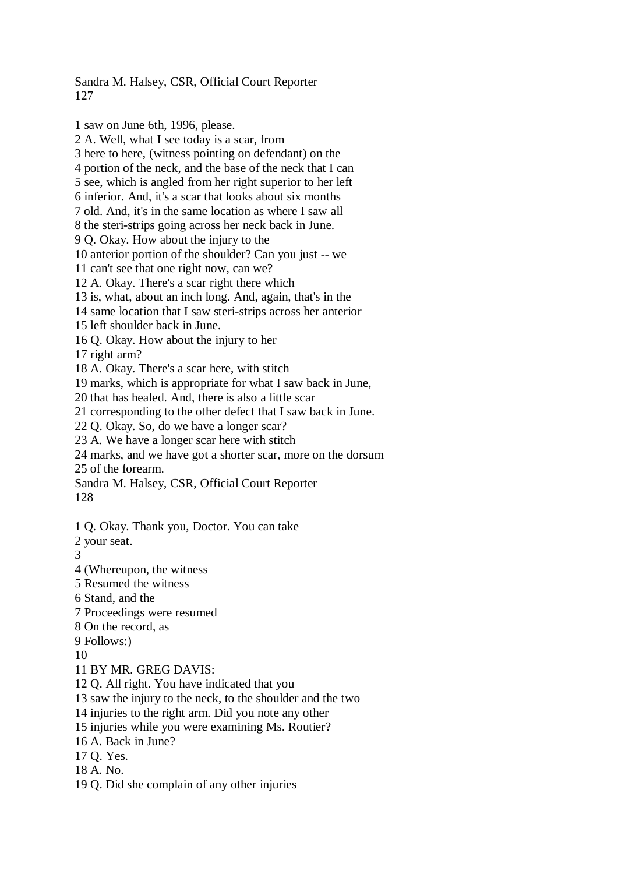Sandra M. Halsey, CSR, Official Court Reporter 127

1 saw on June 6th, 1996, please. 2 A. Well, what I see today is a scar, from 3 here to here, (witness pointing on defendant) on the 4 portion of the neck, and the base of the neck that I can 5 see, which is angled from her right superior to her left 6 inferior. And, it's a scar that looks about six months 7 old. And, it's in the same location as where I saw all 8 the steri-strips going across her neck back in June. 9 Q. Okay. How about the injury to the 10 anterior portion of the shoulder? Can you just -- we 11 can't see that one right now, can we? 12 A. Okay. There's a scar right there which 13 is, what, about an inch long. And, again, that's in the 14 same location that I saw steri-strips across her anterior 15 left shoulder back in June. 16 Q. Okay. How about the injury to her 17 right arm? 18 A. Okay. There's a scar here, with stitch 19 marks, which is appropriate for what I saw back in June, 20 that has healed. And, there is also a little scar 21 corresponding to the other defect that I saw back in June. 22 Q. Okay. So, do we have a longer scar? 23 A. We have a longer scar here with stitch 24 marks, and we have got a shorter scar, more on the dorsum 25 of the forearm. Sandra M. Halsey, CSR, Official Court Reporter 128 1 Q. Okay. Thank you, Doctor. You can take 2 your seat. 3 4 (Whereupon, the witness 5 Resumed the witness 6 Stand, and the 7 Proceedings were resumed 8 On the record, as 9 Follows:) 10 11 BY MR. GREG DAVIS: 12 Q. All right. You have indicated that you 13 saw the injury to the neck, to the shoulder and the two 14 injuries to the right arm. Did you note any other 15 injuries while you were examining Ms. Routier? 16 A. Back in June?

17 Q. Yes.

- 18 A. No.
- 19 Q. Did she complain of any other injuries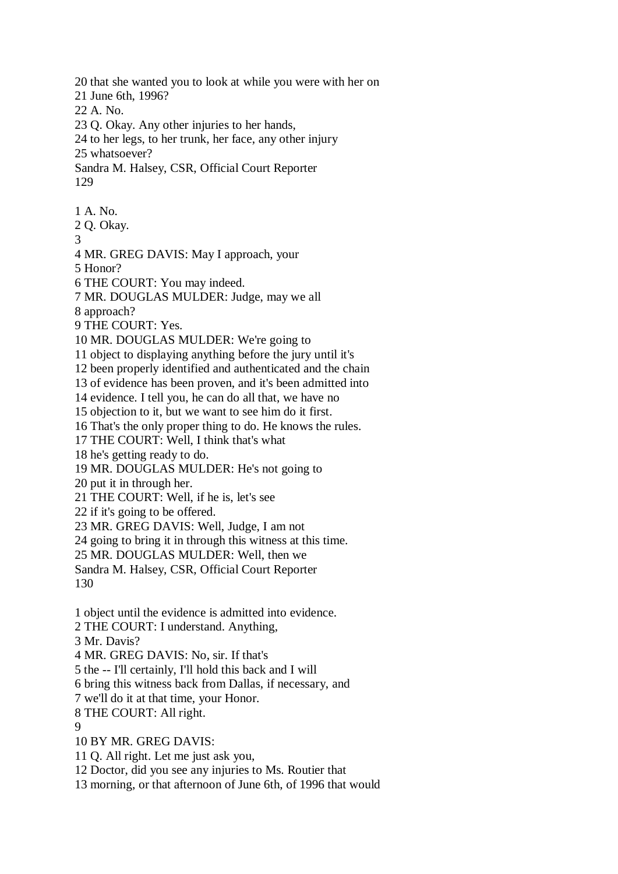20 that she wanted you to look at while you were with her on 21 June 6th, 1996? 22 A. No. 23 Q. Okay. Any other injuries to her hands, 24 to her legs, to her trunk, her face, any other injury 25 whatsoever? Sandra M. Halsey, CSR, Official Court Reporter 129 1 A. No. 2 Q. Okay. 3 4 MR. GREG DAVIS: May I approach, your 5 Honor? 6 THE COURT: You may indeed. 7 MR. DOUGLAS MULDER: Judge, may we all 8 approach? 9 THE COURT: Yes. 10 MR. DOUGLAS MULDER: We're going to 11 object to displaying anything before the jury until it's 12 been properly identified and authenticated and the chain 13 of evidence has been proven, and it's been admitted into 14 evidence. I tell you, he can do all that, we have no 15 objection to it, but we want to see him do it first. 16 That's the only proper thing to do. He knows the rules. 17 THE COURT: Well, I think that's what 18 he's getting ready to do. 19 MR. DOUGLAS MULDER: He's not going to 20 put it in through her. 21 THE COURT: Well, if he is, let's see 22 if it's going to be offered. 23 MR. GREG DAVIS: Well, Judge, I am not 24 going to bring it in through this witness at this time. 25 MR. DOUGLAS MULDER: Well, then we Sandra M. Halsey, CSR, Official Court Reporter 130 1 object until the evidence is admitted into evidence. 2 THE COURT: I understand. Anything, 3 Mr. Davis? 4 MR. GREG DAVIS: No, sir. If that's 5 the -- I'll certainly, I'll hold this back and I will 6 bring this witness back from Dallas, if necessary, and 7 we'll do it at that time, your Honor. 8 THE COURT: All right. 9 10 BY MR. GREG DAVIS: 11 Q. All right. Let me just ask you, 12 Doctor, did you see any injuries to Ms. Routier that 13 morning, or that afternoon of June 6th, of 1996 that would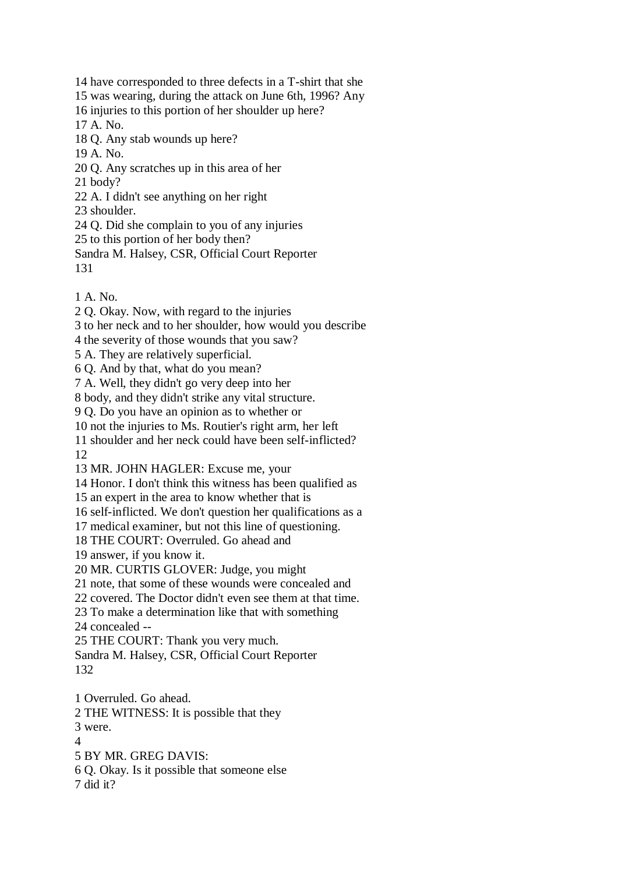14 have corresponded to three defects in a T-shirt that she 15 was wearing, during the attack on June 6th, 1996? Any 16 injuries to this portion of her shoulder up here? 17 A. No. 18 Q. Any stab wounds up here? 19 A. No. 20 Q. Any scratches up in this area of her 21 body? 22 A. I didn't see anything on her right 23 shoulder. 24 Q. Did she complain to you of any injuries 25 to this portion of her body then? Sandra M. Halsey, CSR, Official Court Reporter

- 131
- 1 A. No.
- 2 Q. Okay. Now, with regard to the injuries
- 3 to her neck and to her shoulder, how would you describe
- 4 the severity of those wounds that you saw?
- 5 A. They are relatively superficial.
- 6 Q. And by that, what do you mean?
- 7 A. Well, they didn't go very deep into her
- 8 body, and they didn't strike any vital structure.
- 9 Q. Do you have an opinion as to whether or
- 10 not the injuries to Ms. Routier's right arm, her left
- 11 shoulder and her neck could have been self-inflicted?
- 12
- 13 MR. JOHN HAGLER: Excuse me, your
- 14 Honor. I don't think this witness has been qualified as
- 15 an expert in the area to know whether that is
- 16 self-inflicted. We don't question her qualifications as a
- 17 medical examiner, but not this line of questioning.
- 18 THE COURT: Overruled. Go ahead and
- 19 answer, if you know it.
- 20 MR. CURTIS GLOVER: Judge, you might
- 21 note, that some of these wounds were concealed and
- 22 covered. The Doctor didn't even see them at that time.
- 23 To make a determination like that with something
- 24 concealed --
- 25 THE COURT: Thank you very much.
- Sandra M. Halsey, CSR, Official Court Reporter 132
- 1 Overruled. Go ahead.
- 2 THE WITNESS: It is possible that they
- 3 were.
- $\Lambda$
- 5 BY MR. GREG DAVIS:
- 6 Q. Okay. Is it possible that someone else
- 7 did it?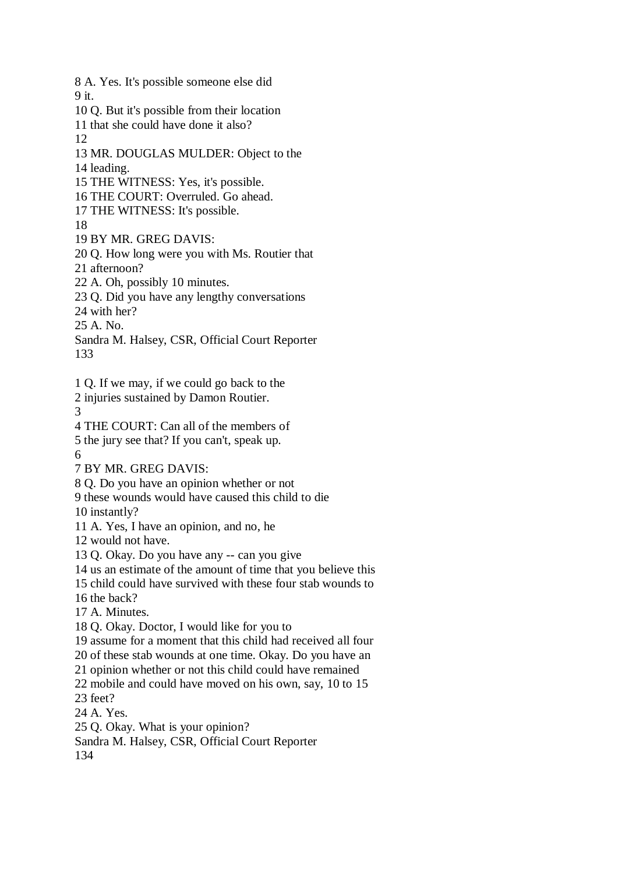8 A. Yes. It's possible someone else did 9 it. 10 Q. But it's possible from their location 11 that she could have done it also? 12 13 MR. DOUGLAS MULDER: Object to the 14 leading. 15 THE WITNESS: Yes, it's possible. 16 THE COURT: Overruled. Go ahead. 17 THE WITNESS: It's possible. 18 19 BY MR. GREG DAVIS: 20 Q. How long were you with Ms. Routier that 21 afternoon? 22 A. Oh, possibly 10 minutes. 23 Q. Did you have any lengthy conversations 24 with her? 25 A. No. Sandra M. Halsey, CSR, Official Court Reporter 133 1 Q. If we may, if we could go back to the 2 injuries sustained by Damon Routier. 3 4 THE COURT: Can all of the members of 5 the jury see that? If you can't, speak up. 6 7 BY MR. GREG DAVIS: 8 Q. Do you have an opinion whether or not 9 these wounds would have caused this child to die 10 instantly? 11 A. Yes, I have an opinion, and no, he 12 would not have. 13 Q. Okay. Do you have any -- can you give 14 us an estimate of the amount of time that you believe this 15 child could have survived with these four stab wounds to 16 the back? 17 A. Minutes. 18 Q. Okay. Doctor, I would like for you to 19 assume for a moment that this child had received all four 20 of these stab wounds at one time. Okay. Do you have an 21 opinion whether or not this child could have remained 22 mobile and could have moved on his own, say, 10 to 15 23 feet? 24 A. Yes. 25 Q. Okay. What is your opinion? Sandra M. Halsey, CSR, Official Court Reporter 134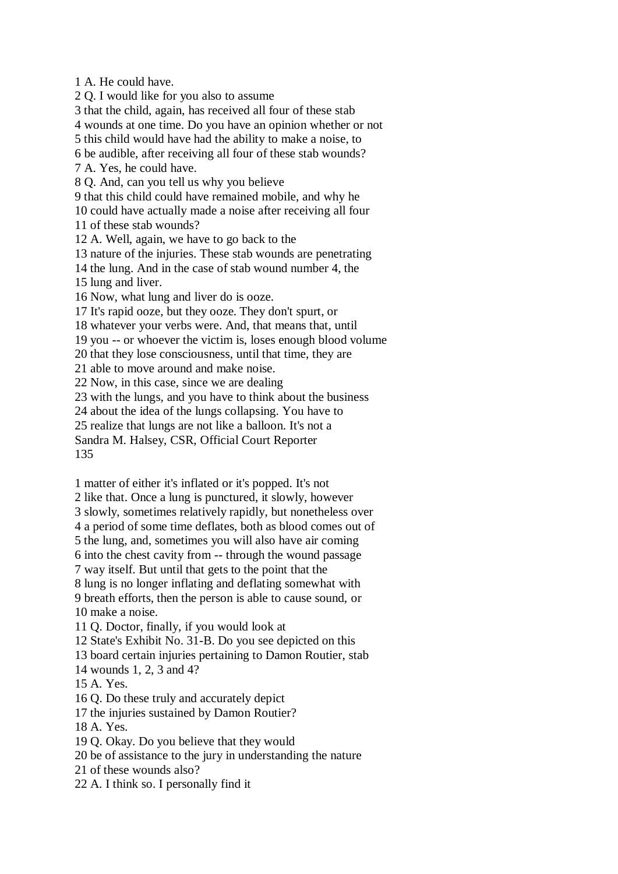1 A. He could have. 2 Q. I would like for you also to assume 3 that the child, again, has received all four of these stab 4 wounds at one time. Do you have an opinion whether or not 5 this child would have had the ability to make a noise, to 6 be audible, after receiving all four of these stab wounds? 7 A. Yes, he could have. 8 Q. And, can you tell us why you believe 9 that this child could have remained mobile, and why he 10 could have actually made a noise after receiving all four 11 of these stab wounds? 12 A. Well, again, we have to go back to the 13 nature of the injuries. These stab wounds are penetrating 14 the lung. And in the case of stab wound number 4, the 15 lung and liver. 16 Now, what lung and liver do is ooze. 17 It's rapid ooze, but they ooze. They don't spurt, or 18 whatever your verbs were. And, that means that, until 19 you -- or whoever the victim is, loses enough blood volume 20 that they lose consciousness, until that time, they are 21 able to move around and make noise. 22 Now, in this case, since we are dealing 23 with the lungs, and you have to think about the business 24 about the idea of the lungs collapsing. You have to 25 realize that lungs are not like a balloon. It's not a Sandra M. Halsey, CSR, Official Court Reporter 135 1 matter of either it's inflated or it's popped. It's not

2 like that. Once a lung is punctured, it slowly, however 3 slowly, sometimes relatively rapidly, but nonetheless over 4 a period of some time deflates, both as blood comes out of 5 the lung, and, sometimes you will also have air coming 6 into the chest cavity from -- through the wound passage 7 way itself. But until that gets to the point that the 8 lung is no longer inflating and deflating somewhat with 9 breath efforts, then the person is able to cause sound, or 10 make a noise.

11 Q. Doctor, finally, if you would look at

12 State's Exhibit No. 31-B. Do you see depicted on this

13 board certain injuries pertaining to Damon Routier, stab

14 wounds 1, 2, 3 and 4?

15 A. Yes.

16 Q. Do these truly and accurately depict

17 the injuries sustained by Damon Routier?

18 A. Yes.

19 Q. Okay. Do you believe that they would

20 be of assistance to the jury in understanding the nature

21 of these wounds also?

22 A. I think so. I personally find it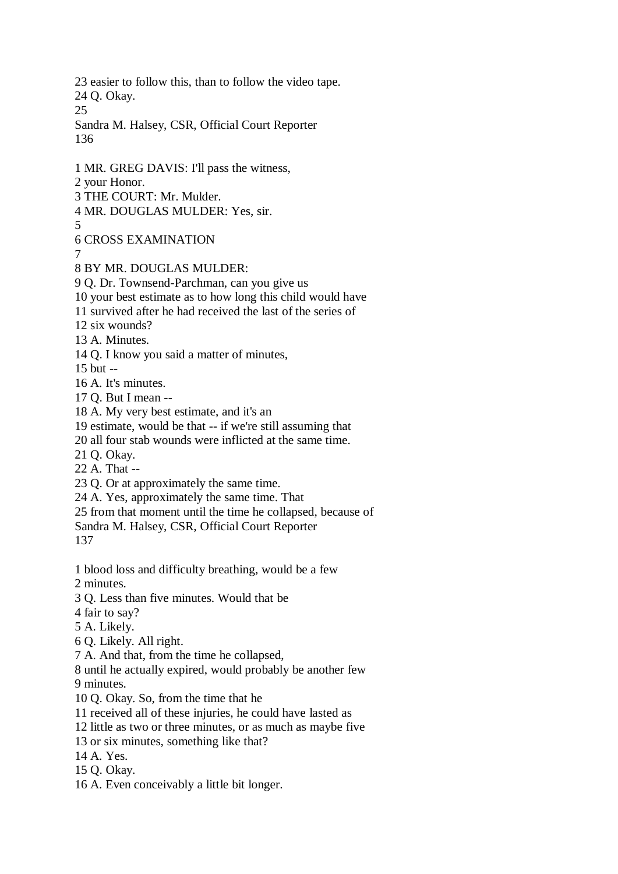23 easier to follow this, than to follow the video tape. 24 Q. Okay. 25 Sandra M. Halsey, CSR, Official Court Reporter 136 1 MR. GREG DAVIS: I'll pass the witness, 2 your Honor. 3 THE COURT: Mr. Mulder. 4 MR. DOUGLAS MULDER: Yes, sir. 5 6 CROSS EXAMINATION 7 8 BY MR. DOUGLAS MULDER: 9 Q. Dr. Townsend-Parchman, can you give us 10 your best estimate as to how long this child would have 11 survived after he had received the last of the series of 12 six wounds? 13 A. Minutes. 14 Q. I know you said a matter of minutes, 15 but -- 16 A. It's minutes. 17 Q. But I mean -- 18 A. My very best estimate, and it's an 19 estimate, would be that -- if we're still assuming that 20 all four stab wounds were inflicted at the same time. 21 Q. Okay. 22 A. That -- 23 Q. Or at approximately the same time. 24 A. Yes, approximately the same time. That 25 from that moment until the time he collapsed, because of Sandra M. Halsey, CSR, Official Court Reporter 137 1 blood loss and difficulty breathing, would be a few 2 minutes. 3 Q. Less than five minutes. Would that be 4 fair to say? 5 A. Likely. 6 Q. Likely. All right. 7 A. And that, from the time he collapsed, 8 until he actually expired, would probably be another few 9 minutes. 10 Q. Okay. So, from the time that he 11 received all of these injuries, he could have lasted as 12 little as two or three minutes, or as much as maybe five 13 or six minutes, something like that? 14 A. Yes. 15 Q. Okay. 16 A. Even conceivably a little bit longer.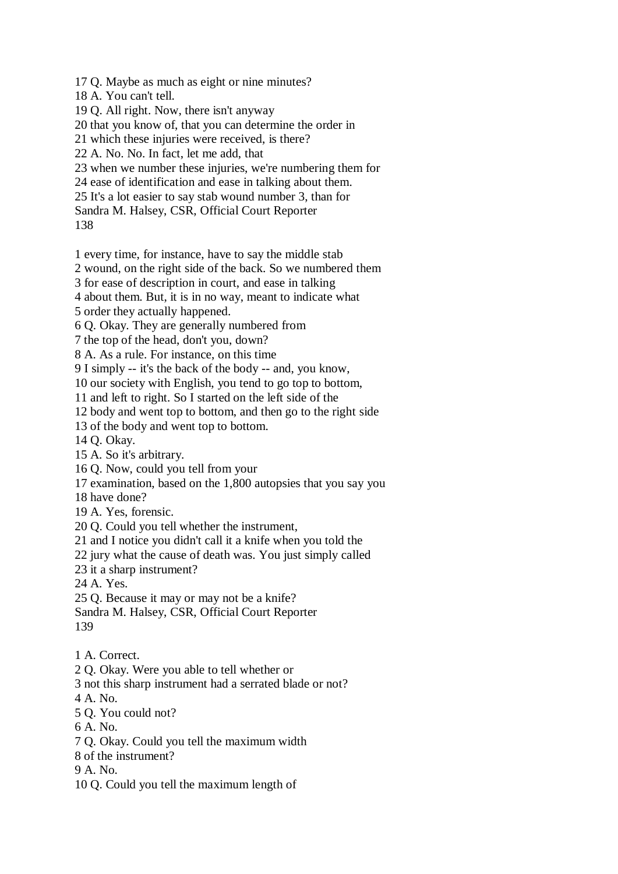17 Q. Maybe as much as eight or nine minutes?

18 A. You can't tell.

19 Q. All right. Now, there isn't anyway

20 that you know of, that you can determine the order in

21 which these injuries were received, is there?

22 A. No. No. In fact, let me add, that

23 when we number these injuries, we're numbering them for

24 ease of identification and ease in talking about them.

25 It's a lot easier to say stab wound number 3, than for

Sandra M. Halsey, CSR, Official Court Reporter

138

1 every time, for instance, have to say the middle stab

2 wound, on the right side of the back. So we numbered them

3 for ease of description in court, and ease in talking

4 about them. But, it is in no way, meant to indicate what

5 order they actually happened.

6 Q. Okay. They are generally numbered from

7 the top of the head, don't you, down?

8 A. As a rule. For instance, on this time

9 I simply -- it's the back of the body -- and, you know,

10 our society with English, you tend to go top to bottom,

11 and left to right. So I started on the left side of the

12 body and went top to bottom, and then go to the right side

13 of the body and went top to bottom.

14 Q. Okay.

15 A. So it's arbitrary.

16 Q. Now, could you tell from your

17 examination, based on the 1,800 autopsies that you say you

18 have done?

19 A. Yes, forensic.

20 Q. Could you tell whether the instrument,

21 and I notice you didn't call it a knife when you told the

22 jury what the cause of death was. You just simply called

23 it a sharp instrument?

24 A. Yes.

25 Q. Because it may or may not be a knife?

Sandra M. Halsey, CSR, Official Court Reporter 139

1 A. Correct.

2 Q. Okay. Were you able to tell whether or

3 not this sharp instrument had a serrated blade or not?

4 A. No.

5 Q. You could not?

6 A. No.

7 Q. Okay. Could you tell the maximum width

8 of the instrument?

9 A. No.

10 Q. Could you tell the maximum length of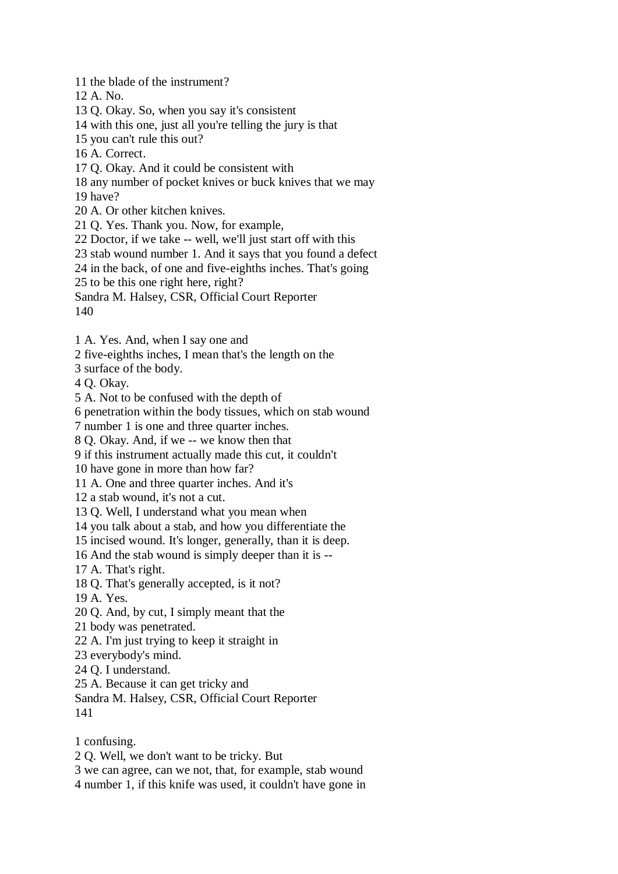11 the blade of the instrument? 12 A. No. 13 Q. Okay. So, when you say it's consistent 14 with this one, just all you're telling the jury is that 15 you can't rule this out? 16 A. Correct. 17 Q. Okay. And it could be consistent with 18 any number of pocket knives or buck knives that we may 19 have? 20 A. Or other kitchen knives. 21 Q. Yes. Thank you. Now, for example, 22 Doctor, if we take -- well, we'll just start off with this 23 stab wound number 1. And it says that you found a defect 24 in the back, of one and five-eighths inches. That's going 25 to be this one right here, right? Sandra M. Halsey, CSR, Official Court Reporter

140

1 A. Yes. And, when I say one and

2 five-eighths inches, I mean that's the length on the

3 surface of the body.

4 Q. Okay.

5 A. Not to be confused with the depth of

6 penetration within the body tissues, which on stab wound

7 number 1 is one and three quarter inches.

8 Q. Okay. And, if we -- we know then that

9 if this instrument actually made this cut, it couldn't

10 have gone in more than how far?

11 A. One and three quarter inches. And it's

12 a stab wound, it's not a cut.

13 Q. Well, I understand what you mean when

14 you talk about a stab, and how you differentiate the

15 incised wound. It's longer, generally, than it is deep.

16 And the stab wound is simply deeper than it is --

17 A. That's right.

18 Q. That's generally accepted, is it not?

19 A. Yes.

20 Q. And, by cut, I simply meant that the

21 body was penetrated.

22 A. I'm just trying to keep it straight in

23 everybody's mind.

24 Q. I understand.

25 A. Because it can get tricky and

Sandra M. Halsey, CSR, Official Court Reporter 141

1 confusing.

2 Q. Well, we don't want to be tricky. But

3 we can agree, can we not, that, for example, stab wound

4 number 1, if this knife was used, it couldn't have gone in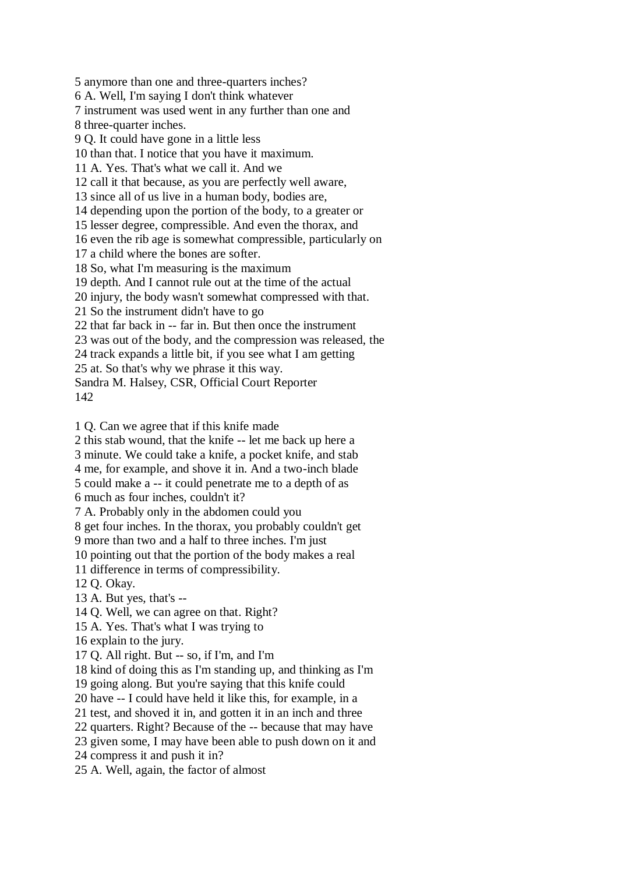5 anymore than one and three-quarters inches? 6 A. Well, I'm saying I don't think whatever 7 instrument was used went in any further than one and 8 three-quarter inches. 9 Q. It could have gone in a little less 10 than that. I notice that you have it maximum. 11 A. Yes. That's what we call it. And we 12 call it that because, as you are perfectly well aware, 13 since all of us live in a human body, bodies are, 14 depending upon the portion of the body, to a greater or 15 lesser degree, compressible. And even the thorax, and 16 even the rib age is somewhat compressible, particularly on 17 a child where the bones are softer. 18 So, what I'm measuring is the maximum 19 depth. And I cannot rule out at the time of the actual 20 injury, the body wasn't somewhat compressed with that. 21 So the instrument didn't have to go 22 that far back in -- far in. But then once the instrument 23 was out of the body, and the compression was released, the 24 track expands a little bit, if you see what I am getting 25 at. So that's why we phrase it this way. Sandra M. Halsey, CSR, Official Court Reporter

142

1 Q. Can we agree that if this knife made

2 this stab wound, that the knife -- let me back up here a

3 minute. We could take a knife, a pocket knife, and stab

4 me, for example, and shove it in. And a two-inch blade

5 could make a -- it could penetrate me to a depth of as

6 much as four inches, couldn't it?

7 A. Probably only in the abdomen could you

8 get four inches. In the thorax, you probably couldn't get

9 more than two and a half to three inches. I'm just

10 pointing out that the portion of the body makes a real

11 difference in terms of compressibility.

12 Q. Okay.

13 A. But yes, that's --

14 Q. Well, we can agree on that. Right?

15 A. Yes. That's what I was trying to

16 explain to the jury.

17 Q. All right. But -- so, if I'm, and I'm

18 kind of doing this as I'm standing up, and thinking as I'm

19 going along. But you're saying that this knife could

20 have -- I could have held it like this, for example, in a

21 test, and shoved it in, and gotten it in an inch and three

22 quarters. Right? Because of the -- because that may have

23 given some, I may have been able to push down on it and

24 compress it and push it in?

25 A. Well, again, the factor of almost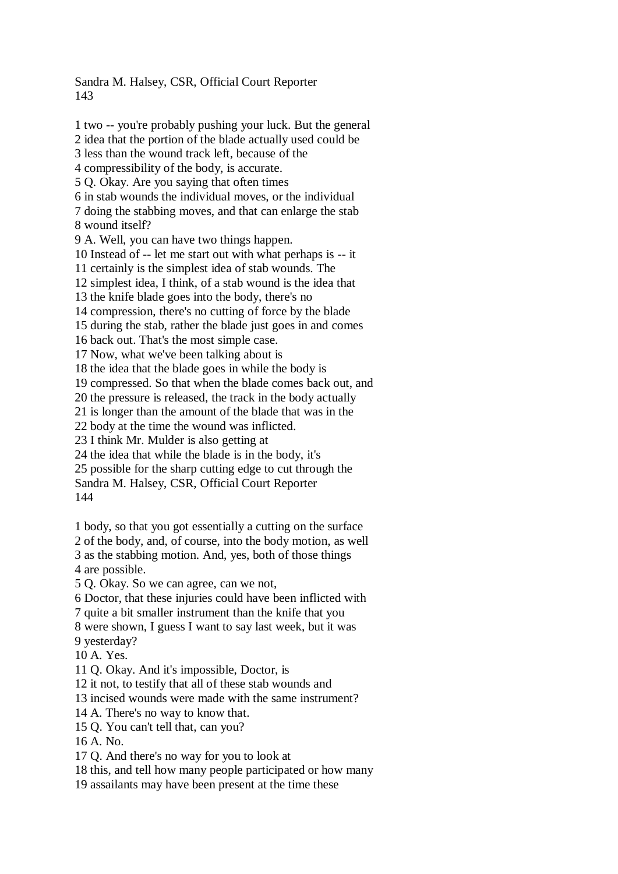Sandra M. Halsey, CSR, Official Court Reporter 143

1 two -- you're probably pushing your luck. But the general 2 idea that the portion of the blade actually used could be 3 less than the wound track left, because of the 4 compressibility of the body, is accurate. 5 Q. Okay. Are you saying that often times 6 in stab wounds the individual moves, or the individual 7 doing the stabbing moves, and that can enlarge the stab 8 wound itself? 9 A. Well, you can have two things happen. 10 Instead of -- let me start out with what perhaps is -- it 11 certainly is the simplest idea of stab wounds. The 12 simplest idea, I think, of a stab wound is the idea that 13 the knife blade goes into the body, there's no 14 compression, there's no cutting of force by the blade 15 during the stab, rather the blade just goes in and comes 16 back out. That's the most simple case. 17 Now, what we've been talking about is 18 the idea that the blade goes in while the body is 19 compressed. So that when the blade comes back out, and 20 the pressure is released, the track in the body actually 21 is longer than the amount of the blade that was in the 22 body at the time the wound was inflicted. 23 I think Mr. Mulder is also getting at 24 the idea that while the blade is in the body, it's 25 possible for the sharp cutting edge to cut through the Sandra M. Halsey, CSR, Official Court Reporter 144 1 body, so that you got essentially a cutting on the surface 2 of the body, and, of course, into the body motion, as well 3 as the stabbing motion. And, yes, both of those things

4 are possible.

5 Q. Okay. So we can agree, can we not,

6 Doctor, that these injuries could have been inflicted with

7 quite a bit smaller instrument than the knife that you

8 were shown, I guess I want to say last week, but it was 9 yesterday?

10 A. Yes.

11 Q. Okay. And it's impossible, Doctor, is

12 it not, to testify that all of these stab wounds and

13 incised wounds were made with the same instrument?

14 A. There's no way to know that.

15 Q. You can't tell that, can you?

16 A. No.

17 Q. And there's no way for you to look at

18 this, and tell how many people participated or how many

19 assailants may have been present at the time these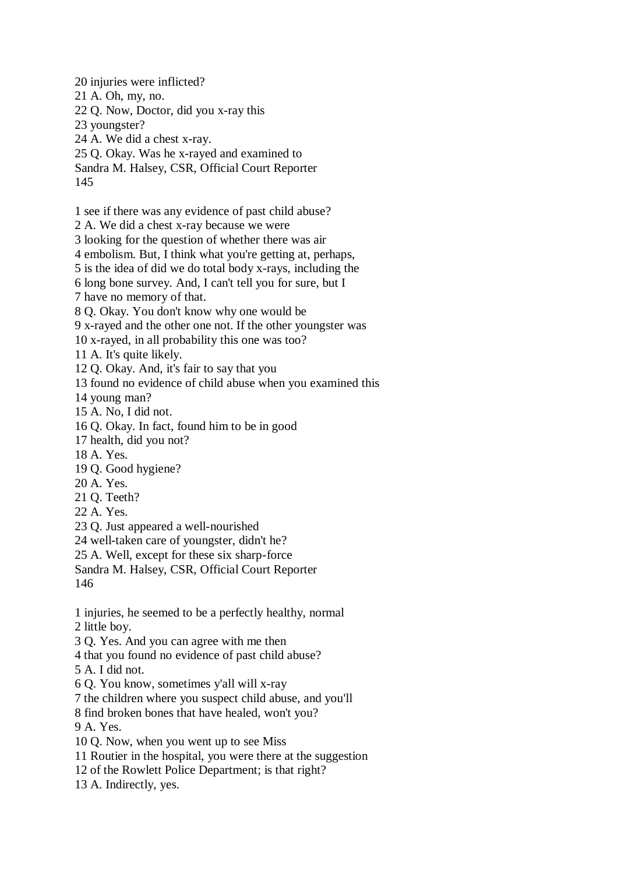20 injuries were inflicted? 21 A. Oh, my, no. 22 Q. Now, Doctor, did you x-ray this 23 youngster? 24 A. We did a chest x-ray. 25 Q. Okay. Was he x-rayed and examined to Sandra M. Halsey, CSR, Official Court Reporter 145 1 see if there was any evidence of past child abuse? 2 A. We did a chest x-ray because we were 3 looking for the question of whether there was air 4 embolism. But, I think what you're getting at, perhaps, 5 is the idea of did we do total body x-rays, including the 6 long bone survey. And, I can't tell you for sure, but I 7 have no memory of that. 8 Q. Okay. You don't know why one would be 9 x-rayed and the other one not. If the other youngster was 10 x-rayed, in all probability this one was too? 11 A. It's quite likely. 12 Q. Okay. And, it's fair to say that you 13 found no evidence of child abuse when you examined this 14 young man? 15 A. No, I did not. 16 Q. Okay. In fact, found him to be in good 17 health, did you not? 18 A. Yes. 19 Q. Good hygiene? 20 A. Yes. 21 Q. Teeth? 22 A. Yes. 23 Q. Just appeared a well-nourished 24 well-taken care of youngster, didn't he? 25 A. Well, except for these six sharp-force Sandra M. Halsey, CSR, Official Court Reporter 146 1 injuries, he seemed to be a perfectly healthy, normal 2 little boy. 3 Q. Yes. And you can agree with me then 4 that you found no evidence of past child abuse? 5 A. I did not. 6 Q. You know, sometimes y'all will x-ray 7 the children where you suspect child abuse, and you'll 8 find broken bones that have healed, won't you? 9 A. Yes. 10 Q. Now, when you went up to see Miss 11 Routier in the hospital, you were there at the suggestion 12 of the Rowlett Police Department; is that right? 13 A. Indirectly, yes.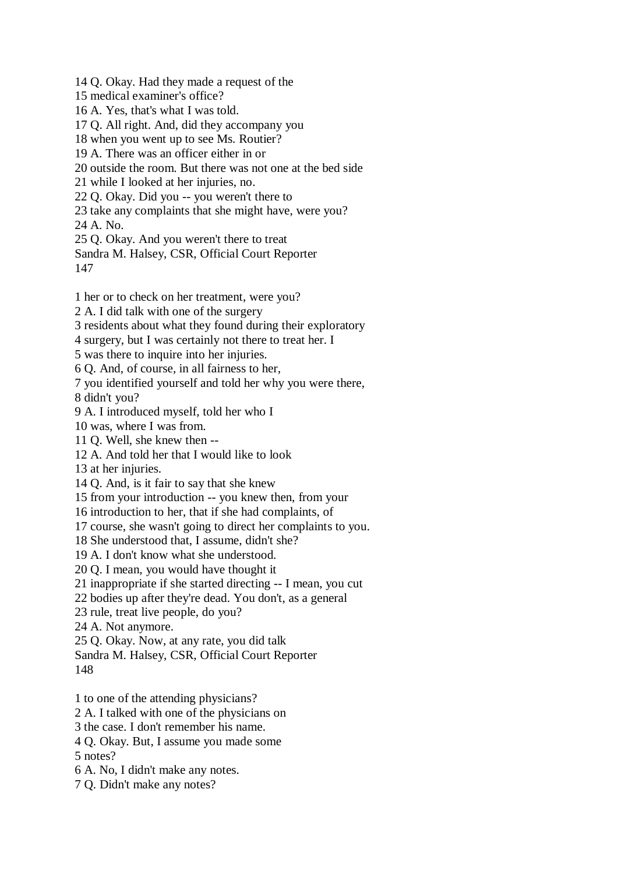14 Q. Okay. Had they made a request of the

15 medical examiner's office?

16 A. Yes, that's what I was told.

17 Q. All right. And, did they accompany you

18 when you went up to see Ms. Routier?

19 A. There was an officer either in or

20 outside the room. But there was not one at the bed side

21 while I looked at her injuries, no.

22 Q. Okay. Did you -- you weren't there to

23 take any complaints that she might have, were you?

24 A. No.

25 Q. Okay. And you weren't there to treat

Sandra M. Halsey, CSR, Official Court Reporter 147

1 her or to check on her treatment, were you?

2 A. I did talk with one of the surgery

3 residents about what they found during their exploratory

4 surgery, but I was certainly not there to treat her. I

5 was there to inquire into her injuries.

6 Q. And, of course, in all fairness to her,

7 you identified yourself and told her why you were there,

8 didn't you?

9 A. I introduced myself, told her who I

10 was, where I was from.

11 Q. Well, she knew then --

12 A. And told her that I would like to look

13 at her injuries.

14 Q. And, is it fair to say that she knew

15 from your introduction -- you knew then, from your

16 introduction to her, that if she had complaints, of

17 course, she wasn't going to direct her complaints to you.

18 She understood that, I assume, didn't she?

19 A. I don't know what she understood.

20 Q. I mean, you would have thought it

21 inappropriate if she started directing -- I mean, you cut

22 bodies up after they're dead. You don't, as a general

23 rule, treat live people, do you?

24 A. Not anymore.

25 Q. Okay. Now, at any rate, you did talk

Sandra M. Halsey, CSR, Official Court Reporter

148

1 to one of the attending physicians?

2 A. I talked with one of the physicians on

3 the case. I don't remember his name.

4 Q. Okay. But, I assume you made some

5 notes?

6 A. No, I didn't make any notes.

7 Q. Didn't make any notes?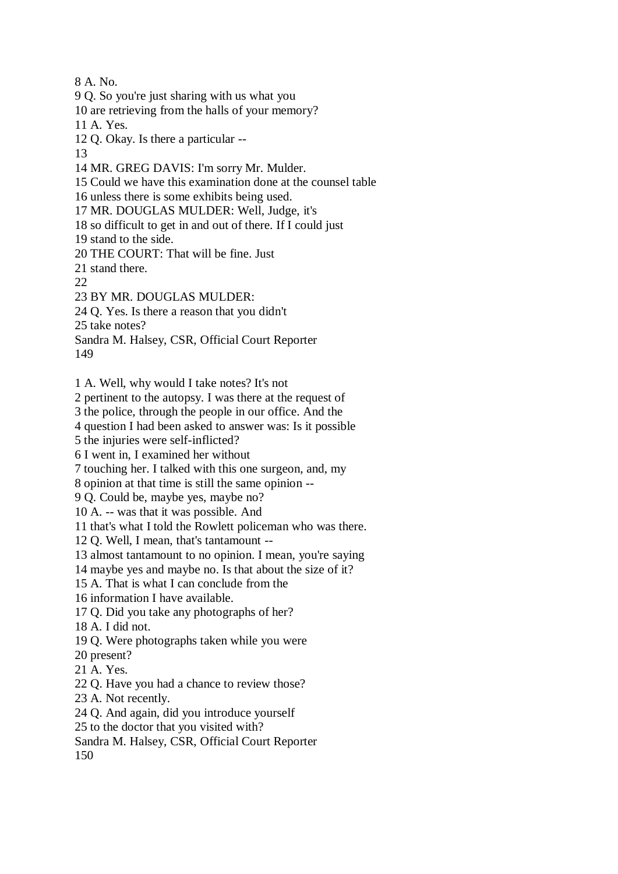8 A. No.

9 Q. So you're just sharing with us what you

10 are retrieving from the halls of your memory?

11 A. Yes.

12 Q. Okay. Is there a particular --

13

14 MR. GREG DAVIS: I'm sorry Mr. Mulder.

15 Could we have this examination done at the counsel table

16 unless there is some exhibits being used.

17 MR. DOUGLAS MULDER: Well, Judge, it's

18 so difficult to get in and out of there. If I could just

19 stand to the side.

20 THE COURT: That will be fine. Just

21 stand there.

22

23 BY MR. DOUGLAS MULDER:

24 Q. Yes. Is there a reason that you didn't

25 take notes?

Sandra M. Halsey, CSR, Official Court Reporter 149

1 A. Well, why would I take notes? It's not

2 pertinent to the autopsy. I was there at the request of

3 the police, through the people in our office. And the

4 question I had been asked to answer was: Is it possible

5 the injuries were self-inflicted?

6 I went in, I examined her without

7 touching her. I talked with this one surgeon, and, my

8 opinion at that time is still the same opinion --

9 Q. Could be, maybe yes, maybe no?

10 A. -- was that it was possible. And

11 that's what I told the Rowlett policeman who was there.

12 Q. Well, I mean, that's tantamount --

13 almost tantamount to no opinion. I mean, you're saying

14 maybe yes and maybe no. Is that about the size of it?

15 A. That is what I can conclude from the

16 information I have available.

17 Q. Did you take any photographs of her?

18 A. I did not.

19 Q. Were photographs taken while you were

- 20 present?
- 21 A. Yes.

22 Q. Have you had a chance to review those?

23 A. Not recently.

24 Q. And again, did you introduce yourself

25 to the doctor that you visited with?

Sandra M. Halsey, CSR, Official Court Reporter

150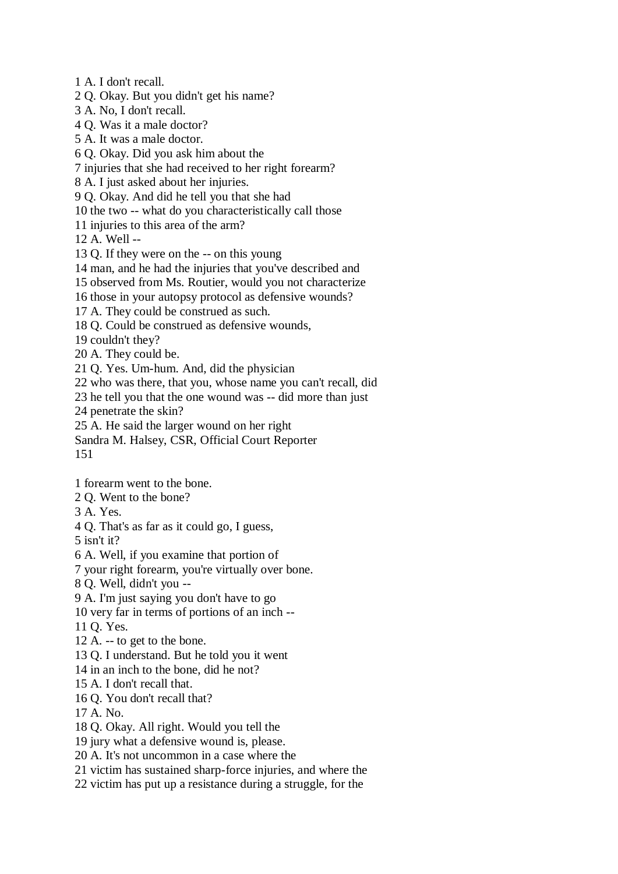1 A. I don't recall.

2 Q. Okay. But you didn't get his name?

3 A. No, I don't recall.

4 Q. Was it a male doctor?

5 A. It was a male doctor.

6 Q. Okay. Did you ask him about the

7 injuries that she had received to her right forearm?

8 A. I just asked about her injuries.

9 Q. Okay. And did he tell you that she had

10 the two -- what do you characteristically call those

11 injuries to this area of the arm?

12 A. Well --

13 Q. If they were on the -- on this young

14 man, and he had the injuries that you've described and

15 observed from Ms. Routier, would you not characterize

16 those in your autopsy protocol as defensive wounds?

17 A. They could be construed as such.

18 Q. Could be construed as defensive wounds,

19 couldn't they?

20 A. They could be.

21 Q. Yes. Um-hum. And, did the physician

22 who was there, that you, whose name you can't recall, did

23 he tell you that the one wound was -- did more than just

24 penetrate the skin?

25 A. He said the larger wound on her right

Sandra M. Halsey, CSR, Official Court Reporter 151

1 forearm went to the bone.

2 Q. Went to the bone?

3 A. Yes.

4 Q. That's as far as it could go, I guess,

5 isn't it?

6 A. Well, if you examine that portion of

7 your right forearm, you're virtually over bone.

8 Q. Well, didn't you --

9 A. I'm just saying you don't have to go

10 very far in terms of portions of an inch --

11 Q. Yes.

12 A. -- to get to the bone.

13 Q. I understand. But he told you it went

14 in an inch to the bone, did he not?

15 A. I don't recall that.

16 Q. You don't recall that?

17 A. No.

18 Q. Okay. All right. Would you tell the

19 jury what a defensive wound is, please.

20 A. It's not uncommon in a case where the

21 victim has sustained sharp-force injuries, and where the

22 victim has put up a resistance during a struggle, for the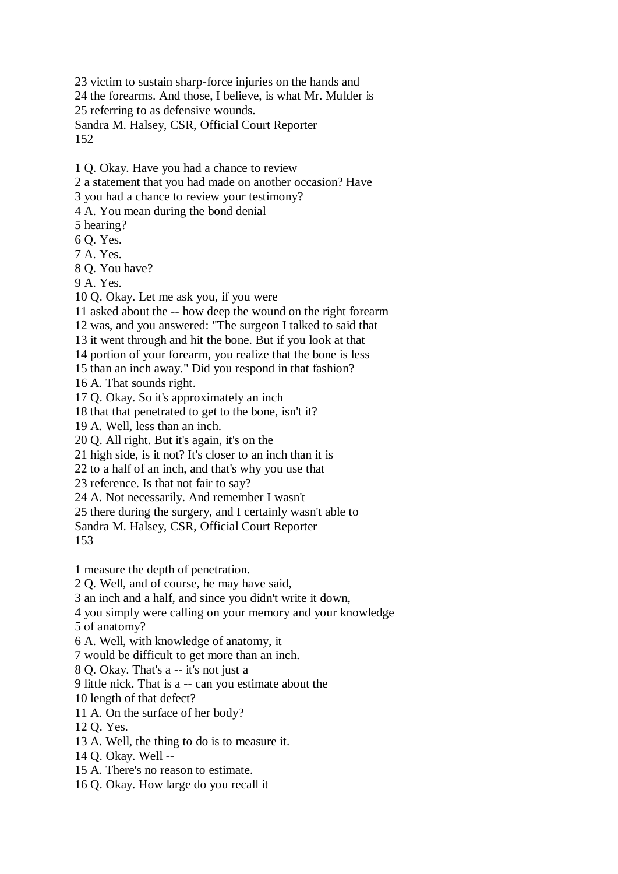23 victim to sustain sharp-force injuries on the hands and 24 the forearms. And those, I believe, is what Mr. Mulder is 25 referring to as defensive wounds. Sandra M. Halsey, CSR, Official Court Reporter 152

1 Q. Okay. Have you had a chance to review

2 a statement that you had made on another occasion? Have

3 you had a chance to review your testimony?

4 A. You mean during the bond denial

5 hearing?

6 Q. Yes.

7 A. Yes.

8 Q. You have?

9 A. Yes.

10 Q. Okay. Let me ask you, if you were

11 asked about the -- how deep the wound on the right forearm

12 was, and you answered: "The surgeon I talked to said that

13 it went through and hit the bone. But if you look at that

14 portion of your forearm, you realize that the bone is less

15 than an inch away." Did you respond in that fashion?

16 A. That sounds right.

17 Q. Okay. So it's approximately an inch

18 that that penetrated to get to the bone, isn't it?

19 A. Well, less than an inch.

20 Q. All right. But it's again, it's on the

21 high side, is it not? It's closer to an inch than it is

22 to a half of an inch, and that's why you use that

23 reference. Is that not fair to say?

24 A. Not necessarily. And remember I wasn't

25 there during the surgery, and I certainly wasn't able to

Sandra M. Halsey, CSR, Official Court Reporter

153

1 measure the depth of penetration.

2 Q. Well, and of course, he may have said,

3 an inch and a half, and since you didn't write it down,

4 you simply were calling on your memory and your knowledge

5 of anatomy?

6 A. Well, with knowledge of anatomy, it

7 would be difficult to get more than an inch.

8 Q. Okay. That's a -- it's not just a

9 little nick. That is a -- can you estimate about the

10 length of that defect?

11 A. On the surface of her body?

12 Q. Yes.

13 A. Well, the thing to do is to measure it.

14 Q. Okay. Well --

15 A. There's no reason to estimate.

16 Q. Okay. How large do you recall it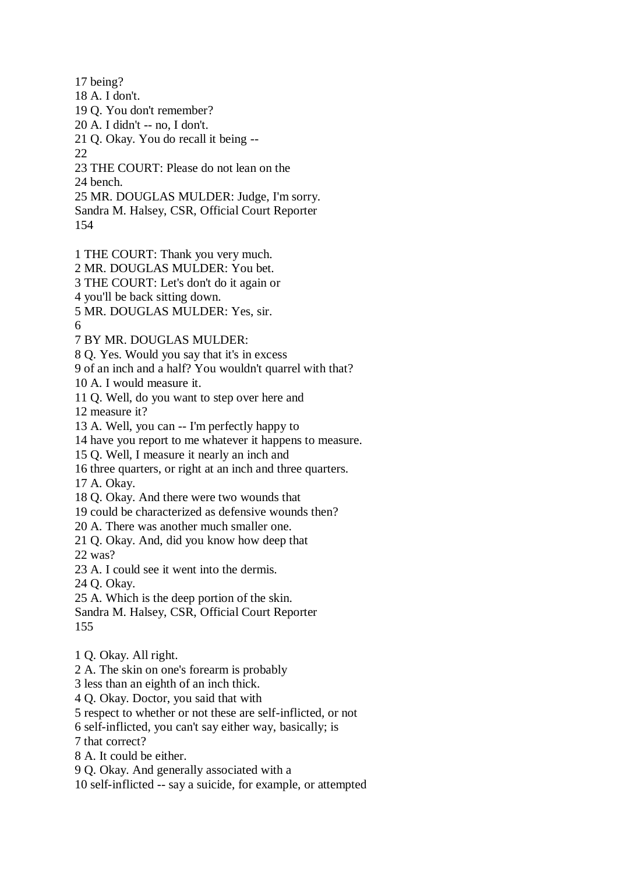17 being?

18 A. I don't.

19 Q. You don't remember?

20 A. I didn't -- no, I don't.

21 Q. Okay. You do recall it being --

22

23 THE COURT: Please do not lean on the

24 bench.

25 MR. DOUGLAS MULDER: Judge, I'm sorry. Sandra M. Halsey, CSR, Official Court Reporter 154

- 1 THE COURT: Thank you very much.
- 2 MR. DOUGLAS MULDER: You bet.

3 THE COURT: Let's don't do it again or

4 you'll be back sitting down.

5 MR. DOUGLAS MULDER: Yes, sir.

6

7 BY MR. DOUGLAS MULDER:

8 Q. Yes. Would you say that it's in excess

9 of an inch and a half? You wouldn't quarrel with that?

10 A. I would measure it.

11 Q. Well, do you want to step over here and

12 measure it?

13 A. Well, you can -- I'm perfectly happy to

14 have you report to me whatever it happens to measure.

15 Q. Well, I measure it nearly an inch and

16 three quarters, or right at an inch and three quarters.

17 A. Okay.

18 Q. Okay. And there were two wounds that

19 could be characterized as defensive wounds then?

20 A. There was another much smaller one.

21 Q. Okay. And, did you know how deep that

22 was?

23 A. I could see it went into the dermis.

24 Q. Okay.

25 A. Which is the deep portion of the skin.

Sandra M. Halsey, CSR, Official Court Reporter 155

1 Q. Okay. All right.

2 A. The skin on one's forearm is probably

3 less than an eighth of an inch thick.

4 Q. Okay. Doctor, you said that with

5 respect to whether or not these are self-inflicted, or not

6 self-inflicted, you can't say either way, basically; is

7 that correct?

8 A. It could be either.

9 Q. Okay. And generally associated with a

10 self-inflicted -- say a suicide, for example, or attempted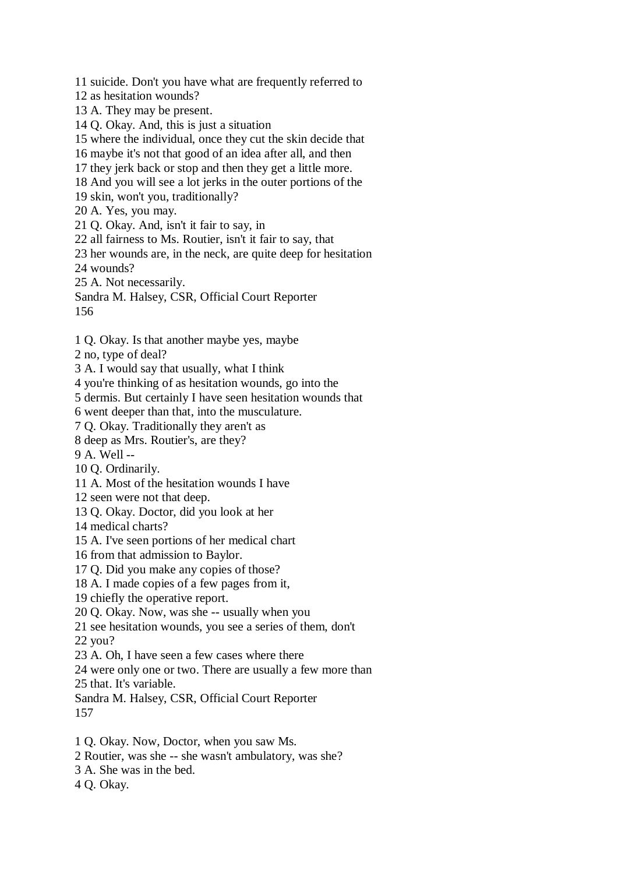11 suicide. Don't you have what are frequently referred to

12 as hesitation wounds?

13 A. They may be present.

14 Q. Okay. And, this is just a situation

15 where the individual, once they cut the skin decide that

16 maybe it's not that good of an idea after all, and then

17 they jerk back or stop and then they get a little more.

18 And you will see a lot jerks in the outer portions of the

19 skin, won't you, traditionally?

20 A. Yes, you may.

21 Q. Okay. And, isn't it fair to say, in

22 all fairness to Ms. Routier, isn't it fair to say, that

23 her wounds are, in the neck, are quite deep for hesitation

24 wounds?

25 A. Not necessarily.

Sandra M. Halsey, CSR, Official Court Reporter 156

1 Q. Okay. Is that another maybe yes, maybe

2 no, type of deal?

3 A. I would say that usually, what I think

4 you're thinking of as hesitation wounds, go into the

5 dermis. But certainly I have seen hesitation wounds that

6 went deeper than that, into the musculature.

7 Q. Okay. Traditionally they aren't as

8 deep as Mrs. Routier's, are they?

9 A. Well --

10 Q. Ordinarily.

11 A. Most of the hesitation wounds I have

12 seen were not that deep.

13 Q. Okay. Doctor, did you look at her

14 medical charts?

15 A. I've seen portions of her medical chart

16 from that admission to Baylor.

17 Q. Did you make any copies of those?

18 A. I made copies of a few pages from it,

19 chiefly the operative report.

20 Q. Okay. Now, was she -- usually when you

21 see hesitation wounds, you see a series of them, don't

22 you?

23 A. Oh, I have seen a few cases where there

24 were only one or two. There are usually a few more than

25 that. It's variable.

Sandra M. Halsey, CSR, Official Court Reporter 157

1 Q. Okay. Now, Doctor, when you saw Ms.

2 Routier, was she -- she wasn't ambulatory, was she?

3 A. She was in the bed.

4 Q. Okay.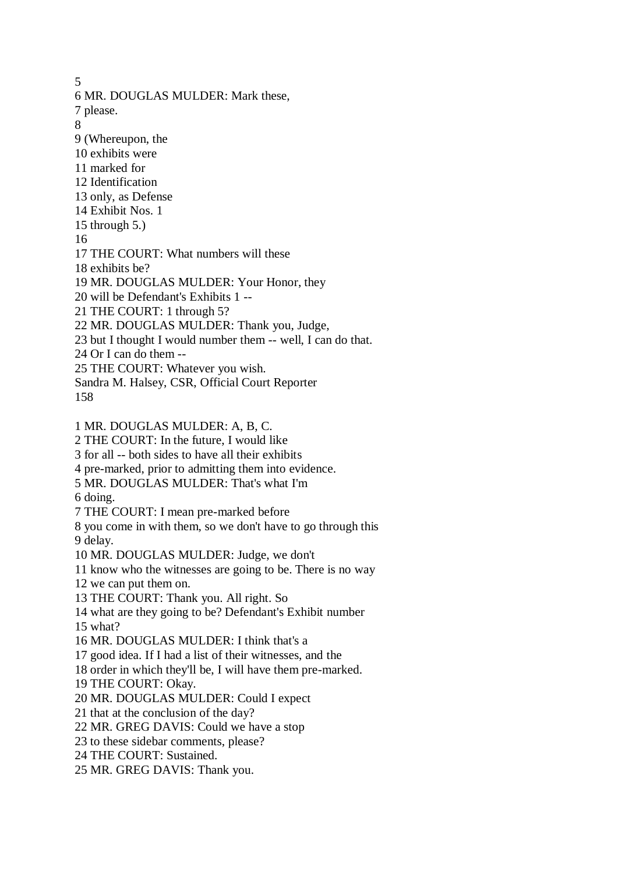5 6 MR. DOUGLAS MULDER: Mark these, 7 please. 8 9 (Whereupon, the 10 exhibits were 11 marked for 12 Identification 13 only, as Defense 14 Exhibit Nos. 1 15 through 5.) 16 17 THE COURT: What numbers will these 18 exhibits be? 19 MR. DOUGLAS MULDER: Your Honor, they 20 will be Defendant's Exhibits 1 -- 21 THE COURT: 1 through 5? 22 MR. DOUGLAS MULDER: Thank you, Judge, 23 but I thought I would number them -- well, I can do that. 24 Or I can do them -- 25 THE COURT: Whatever you wish. Sandra M. Halsey, CSR, Official Court Reporter 158 1 MR. DOUGLAS MULDER: A, B, C. 2 THE COURT: In the future, I would like 3 for all -- both sides to have all their exhibits 4 pre-marked, prior to admitting them into evidence. 5 MR. DOUGLAS MULDER: That's what I'm 6 doing. 7 THE COURT: I mean pre-marked before 8 you come in with them, so we don't have to go through this 9 delay. 10 MR. DOUGLAS MULDER: Judge, we don't 11 know who the witnesses are going to be. There is no way 12 we can put them on. 13 THE COURT: Thank you. All right. So 14 what are they going to be? Defendant's Exhibit number 15 what? 16 MR. DOUGLAS MULDER: I think that's a 17 good idea. If I had a list of their witnesses, and the 18 order in which they'll be, I will have them pre-marked. 19 THE COURT: Okay. 20 MR. DOUGLAS MULDER: Could I expect 21 that at the conclusion of the day? 22 MR. GREG DAVIS: Could we have a stop 23 to these sidebar comments, please? 24 THE COURT: Sustained. 25 MR. GREG DAVIS: Thank you.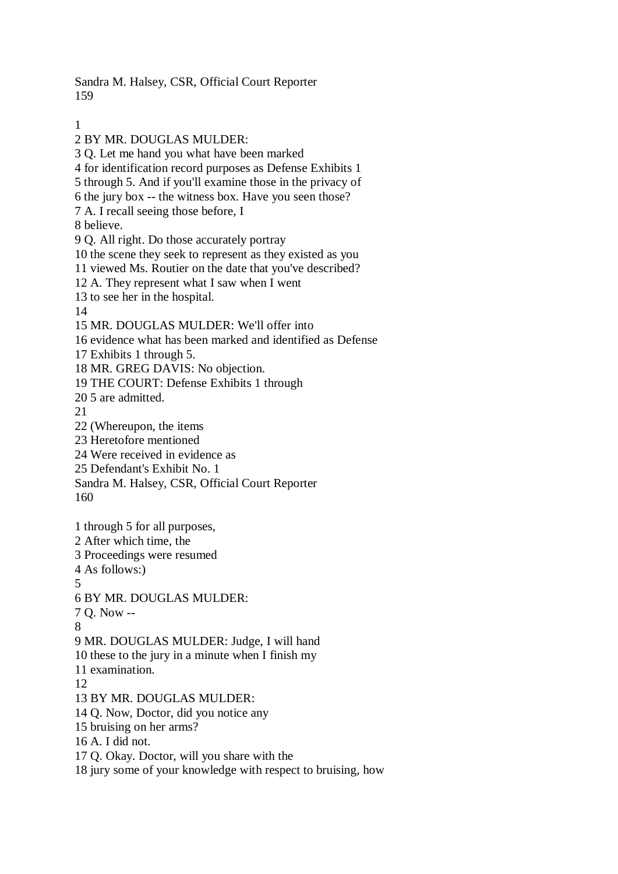Sandra M. Halsey, CSR, Official Court Reporter 159

1

2 BY MR. DOUGLAS MULDER: 3 Q. Let me hand you what have been marked 4 for identification record purposes as Defense Exhibits 1 5 through 5. And if you'll examine those in the privacy of 6 the jury box -- the witness box. Have you seen those? 7 A. I recall seeing those before, I 8 believe. 9 Q. All right. Do those accurately portray 10 the scene they seek to represent as they existed as you 11 viewed Ms. Routier on the date that you've described? 12 A. They represent what I saw when I went 13 to see her in the hospital. 14 15 MR. DOUGLAS MULDER: We'll offer into 16 evidence what has been marked and identified as Defense 17 Exhibits 1 through 5. 18 MR. GREG DAVIS: No objection. 19 THE COURT: Defense Exhibits 1 through 20 5 are admitted. 21 22 (Whereupon, the items 23 Heretofore mentioned 24 Were received in evidence as 25 Defendant's Exhibit No. 1 Sandra M. Halsey, CSR, Official Court Reporter 160 1 through 5 for all purposes, 2 After which time, the 3 Proceedings were resumed 4 As follows:) 5 6 BY MR. DOUGLAS MULDER: 7 Q. Now -- 8 9 MR. DOUGLAS MULDER: Judge, I will hand 10 these to the jury in a minute when I finish my 11 examination. 12 13 BY MR. DOUGLAS MULDER: 14 Q. Now, Doctor, did you notice any 15 bruising on her arms? 16 A. I did not. 17 Q. Okay. Doctor, will you share with the 18 jury some of your knowledge with respect to bruising, how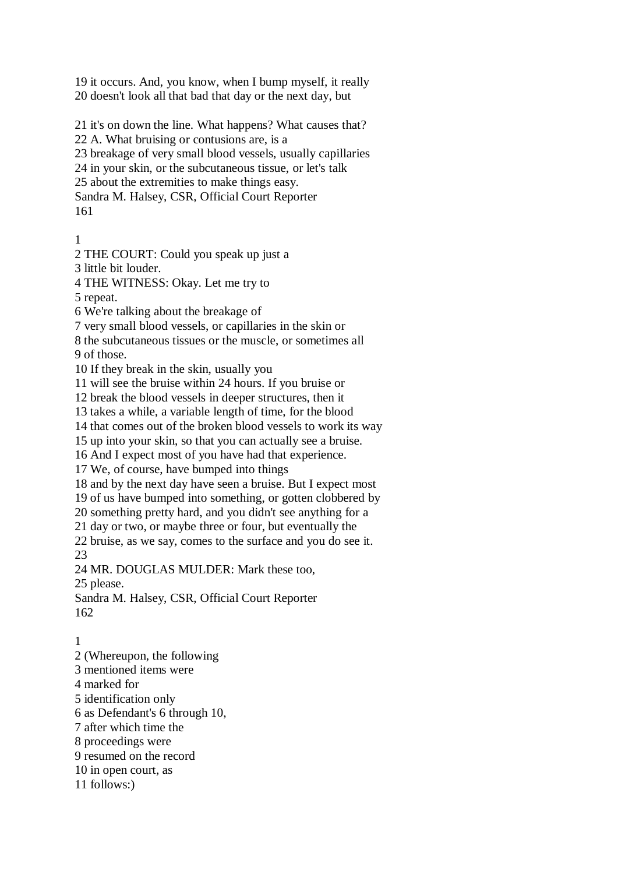19 it occurs. And, you know, when I bump myself, it really 20 doesn't look all that bad that day or the next day, but

21 it's on down the line. What happens? What causes that? 22 A. What bruising or contusions are, is a 23 breakage of very small blood vessels, usually capillaries 24 in your skin, or the subcutaneous tissue, or let's talk 25 about the extremities to make things easy. Sandra M. Halsey, CSR, Official Court Reporter 161

1

2 THE COURT: Could you speak up just a

3 little bit louder.

4 THE WITNESS: Okay. Let me try to

5 repeat.

6 We're talking about the breakage of

7 very small blood vessels, or capillaries in the skin or

8 the subcutaneous tissues or the muscle, or sometimes all 9 of those.

10 If they break in the skin, usually you

11 will see the bruise within 24 hours. If you bruise or

12 break the blood vessels in deeper structures, then it

13 takes a while, a variable length of time, for the blood

14 that comes out of the broken blood vessels to work its way

15 up into your skin, so that you can actually see a bruise.

16 And I expect most of you have had that experience.

17 We, of course, have bumped into things

18 and by the next day have seen a bruise. But I expect most

19 of us have bumped into something, or gotten clobbered by

20 something pretty hard, and you didn't see anything for a

21 day or two, or maybe three or four, but eventually the

22 bruise, as we say, comes to the surface and you do see it.

23

24 MR. DOUGLAS MULDER: Mark these too,

25 please.

Sandra M. Halsey, CSR, Official Court Reporter 162

## 1

2 (Whereupon, the following 3 mentioned items were 4 marked for 5 identification only 6 as Defendant's 6 through 10, 7 after which time the 8 proceedings were 9 resumed on the record 10 in open court, as 11 follows:)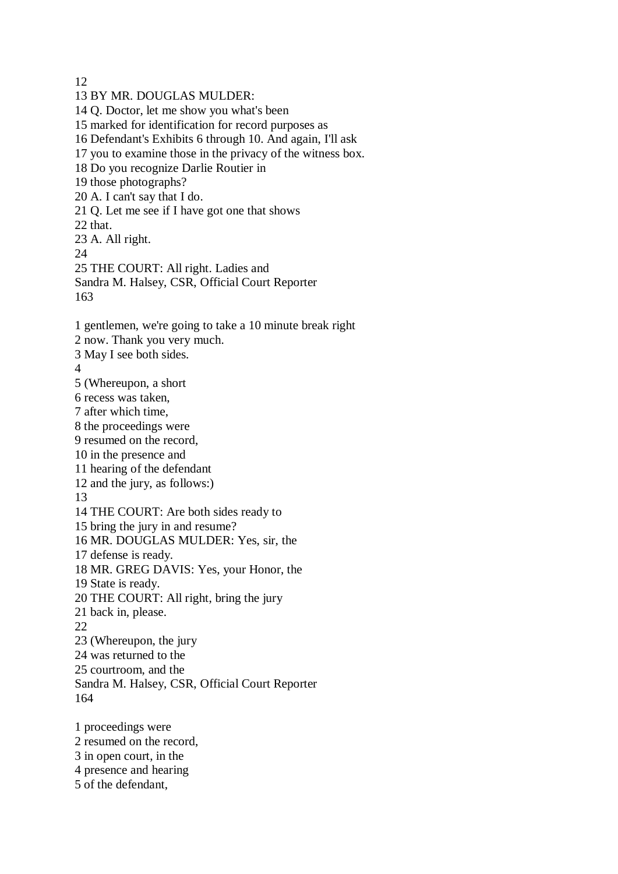12

13 BY MR. DOUGLAS MULDER: 14 Q. Doctor, let me show you what's been 15 marked for identification for record purposes as 16 Defendant's Exhibits 6 through 10. And again, I'll ask 17 you to examine those in the privacy of the witness box. 18 Do you recognize Darlie Routier in 19 those photographs? 20 A. I can't say that I do. 21 Q. Let me see if I have got one that shows 22 that. 23 A. All right. 24 25 THE COURT: All right. Ladies and Sandra M. Halsey, CSR, Official Court Reporter 163 1 gentlemen, we're going to take a 10 minute break right 2 now. Thank you very much. 3 May I see both sides. 4 5 (Whereupon, a short 6 recess was taken, 7 after which time, 8 the proceedings were 9 resumed on the record, 10 in the presence and 11 hearing of the defendant 12 and the jury, as follows:) 13 14 THE COURT: Are both sides ready to 15 bring the jury in and resume? 16 MR. DOUGLAS MULDER: Yes, sir, the 17 defense is ready. 18 MR. GREG DAVIS: Yes, your Honor, the 19 State is ready. 20 THE COURT: All right, bring the jury 21 back in, please. 22 23 (Whereupon, the jury 24 was returned to the 25 courtroom, and the Sandra M. Halsey, CSR, Official Court Reporter 164 1 proceedings were 2 resumed on the record, 3 in open court, in the 4 presence and hearing

5 of the defendant,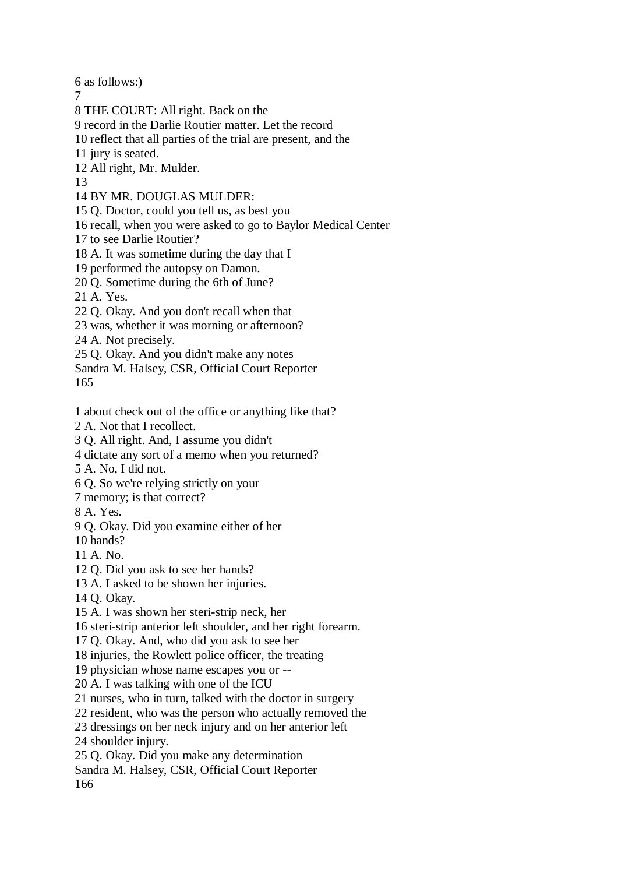6 as follows:)

7

8 THE COURT: All right. Back on the

9 record in the Darlie Routier matter. Let the record

10 reflect that all parties of the trial are present, and the

11 jury is seated.

12 All right, Mr. Mulder.

13

14 BY MR. DOUGLAS MULDER:

15 Q. Doctor, could you tell us, as best you

16 recall, when you were asked to go to Baylor Medical Center

17 to see Darlie Routier?

18 A. It was sometime during the day that I

19 performed the autopsy on Damon.

20 Q. Sometime during the 6th of June?

21 A. Yes.

22 Q. Okay. And you don't recall when that

23 was, whether it was morning or afternoon?

24 A. Not precisely.

25 Q. Okay. And you didn't make any notes

Sandra M. Halsey, CSR, Official Court Reporter 165

1 about check out of the office or anything like that?

2 A. Not that I recollect.

3 Q. All right. And, I assume you didn't

4 dictate any sort of a memo when you returned?

5 A. No, I did not.

6 Q. So we're relying strictly on your

7 memory; is that correct?

8 A. Yes.

9 Q. Okay. Did you examine either of her

10 hands?

11 A. No.

12 Q. Did you ask to see her hands?

13 A. I asked to be shown her injuries.

14 Q. Okay.

15 A. I was shown her steri-strip neck, her

16 steri-strip anterior left shoulder, and her right forearm.

17 Q. Okay. And, who did you ask to see her

18 injuries, the Rowlett police officer, the treating

19 physician whose name escapes you or --

20 A. I was talking with one of the ICU

21 nurses, who in turn, talked with the doctor in surgery

22 resident, who was the person who actually removed the

23 dressings on her neck injury and on her anterior left

24 shoulder injury.

25 Q. Okay. Did you make any determination

Sandra M. Halsey, CSR, Official Court Reporter 166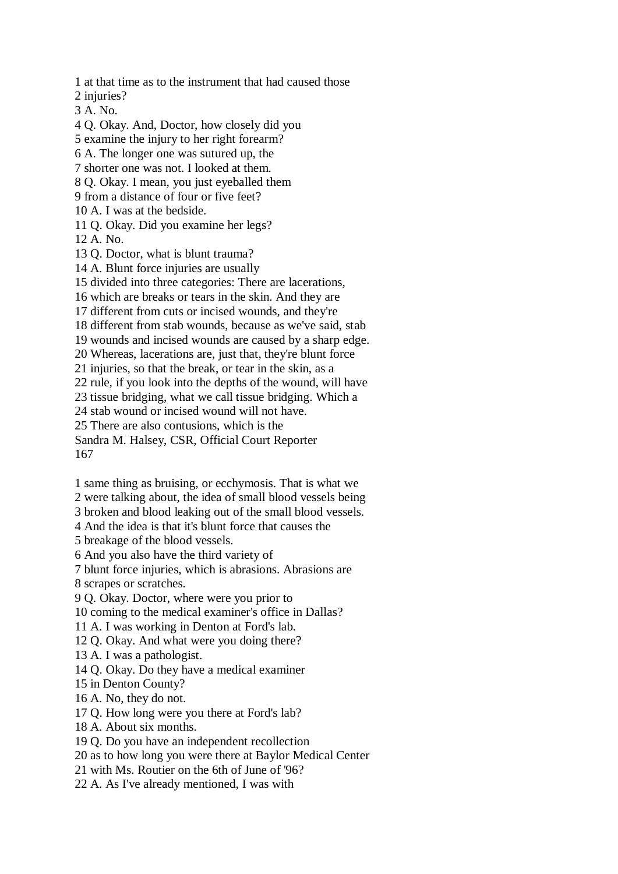1 at that time as to the instrument that had caused those 2 injuries? 3 A. No. 4 Q. Okay. And, Doctor, how closely did you 5 examine the injury to her right forearm? 6 A. The longer one was sutured up, the 7 shorter one was not. I looked at them. 8 Q. Okay. I mean, you just eyeballed them 9 from a distance of four or five feet? 10 A. I was at the bedside. 11 Q. Okay. Did you examine her legs? 12 A. No. 13 Q. Doctor, what is blunt trauma? 14 A. Blunt force injuries are usually 15 divided into three categories: There are lacerations, 16 which are breaks or tears in the skin. And they are 17 different from cuts or incised wounds, and they're 18 different from stab wounds, because as we've said, stab 19 wounds and incised wounds are caused by a sharp edge. 20 Whereas, lacerations are, just that, they're blunt force 21 injuries, so that the break, or tear in the skin, as a 22 rule, if you look into the depths of the wound, will have 23 tissue bridging, what we call tissue bridging. Which a 24 stab wound or incised wound will not have. 25 There are also contusions, which is the Sandra M. Halsey, CSR, Official Court Reporter 167

1 same thing as bruising, or ecchymosis. That is what we

2 were talking about, the idea of small blood vessels being

3 broken and blood leaking out of the small blood vessels.

4 And the idea is that it's blunt force that causes the

5 breakage of the blood vessels.

6 And you also have the third variety of

7 blunt force injuries, which is abrasions. Abrasions are

8 scrapes or scratches.

9 Q. Okay. Doctor, where were you prior to

10 coming to the medical examiner's office in Dallas?

11 A. I was working in Denton at Ford's lab.

12 Q. Okay. And what were you doing there?

13 A. I was a pathologist.

14 Q. Okay. Do they have a medical examiner

15 in Denton County?

16 A. No, they do not.

17 Q. How long were you there at Ford's lab?

18 A. About six months.

19 Q. Do you have an independent recollection

20 as to how long you were there at Baylor Medical Center

21 with Ms. Routier on the 6th of June of '96?

22 A. As I've already mentioned, I was with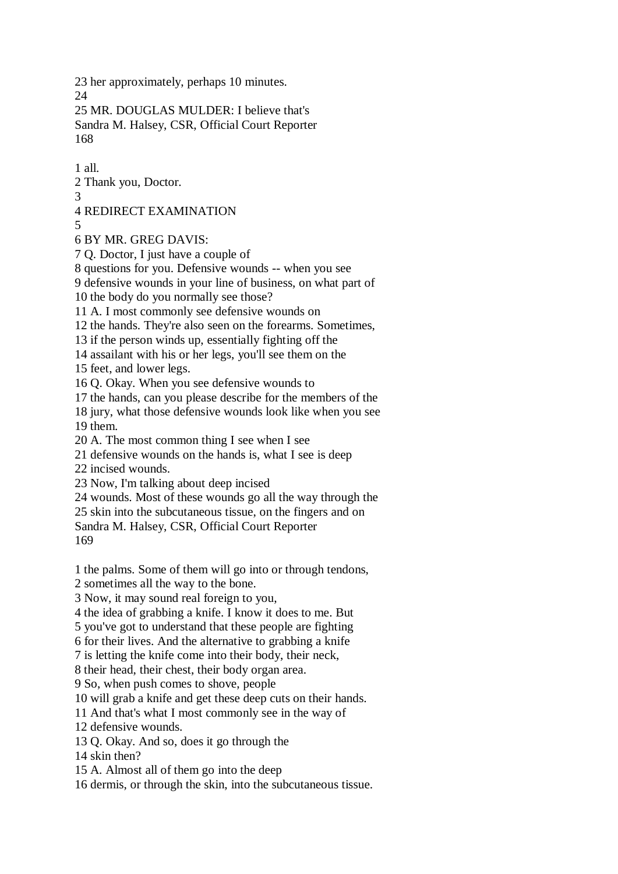23 her approximately, perhaps 10 minutes. 24

25 MR. DOUGLAS MULDER: I believe that's Sandra M. Halsey, CSR, Official Court Reporter 168

1 all.

2 Thank you, Doctor.

3

4 REDIRECT EXAMINATION

5

6 BY MR. GREG DAVIS:

7 Q. Doctor, I just have a couple of

8 questions for you. Defensive wounds -- when you see

9 defensive wounds in your line of business, on what part of

10 the body do you normally see those?

11 A. I most commonly see defensive wounds on

12 the hands. They're also seen on the forearms. Sometimes,

13 if the person winds up, essentially fighting off the

14 assailant with his or her legs, you'll see them on the

15 feet, and lower legs.

16 Q. Okay. When you see defensive wounds to

17 the hands, can you please describe for the members of the

18 jury, what those defensive wounds look like when you see 19 them.

20 A. The most common thing I see when I see

21 defensive wounds on the hands is, what I see is deep

22 incised wounds.

23 Now, I'm talking about deep incised

24 wounds. Most of these wounds go all the way through the

25 skin into the subcutaneous tissue, on the fingers and on

Sandra M. Halsey, CSR, Official Court Reporter 169

1 the palms. Some of them will go into or through tendons,

2 sometimes all the way to the bone.

3 Now, it may sound real foreign to you,

4 the idea of grabbing a knife. I know it does to me. But

5 you've got to understand that these people are fighting

6 for their lives. And the alternative to grabbing a knife

7 is letting the knife come into their body, their neck,

8 their head, their chest, their body organ area.

9 So, when push comes to shove, people

10 will grab a knife and get these deep cuts on their hands.

11 And that's what I most commonly see in the way of

12 defensive wounds.

13 Q. Okay. And so, does it go through the

14 skin then?

15 A. Almost all of them go into the deep

16 dermis, or through the skin, into the subcutaneous tissue.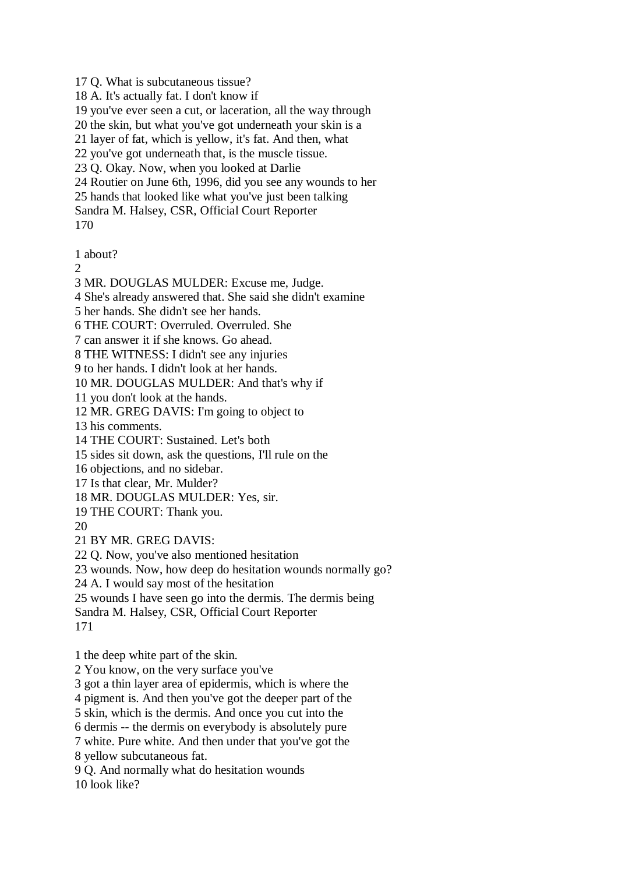17 Q. What is subcutaneous tissue?

18 A. It's actually fat. I don't know if

19 you've ever seen a cut, or laceration, all the way through

20 the skin, but what you've got underneath your skin is a

21 layer of fat, which is yellow, it's fat. And then, what

22 you've got underneath that, is the muscle tissue.

23 Q. Okay. Now, when you looked at Darlie

24 Routier on June 6th, 1996, did you see any wounds to her

25 hands that looked like what you've just been talking

Sandra M. Halsey, CSR, Official Court Reporter

170

1 about?

 $\mathcal{D}_{\mathcal{L}}$ 

3 MR. DOUGLAS MULDER: Excuse me, Judge.

4 She's already answered that. She said she didn't examine

5 her hands. She didn't see her hands.

6 THE COURT: Overruled. Overruled. She

7 can answer it if she knows. Go ahead.

8 THE WITNESS: I didn't see any injuries

9 to her hands. I didn't look at her hands.

10 MR. DOUGLAS MULDER: And that's why if

11 you don't look at the hands.

12 MR. GREG DAVIS: I'm going to object to

13 his comments.

14 THE COURT: Sustained. Let's both

15 sides sit down, ask the questions, I'll rule on the

16 objections, and no sidebar.

17 Is that clear, Mr. Mulder?

18 MR. DOUGLAS MULDER: Yes, sir.

19 THE COURT: Thank you.

20

21 BY MR. GREG DAVIS:

22 Q. Now, you've also mentioned hesitation

23 wounds. Now, how deep do hesitation wounds normally go?

24 A. I would say most of the hesitation

25 wounds I have seen go into the dermis. The dermis being

Sandra M. Halsey, CSR, Official Court Reporter

171

1 the deep white part of the skin.

2 You know, on the very surface you've

3 got a thin layer area of epidermis, which is where the

4 pigment is. And then you've got the deeper part of the

5 skin, which is the dermis. And once you cut into the

6 dermis -- the dermis on everybody is absolutely pure

7 white. Pure white. And then under that you've got the

8 yellow subcutaneous fat.

9 Q. And normally what do hesitation wounds 10 look like?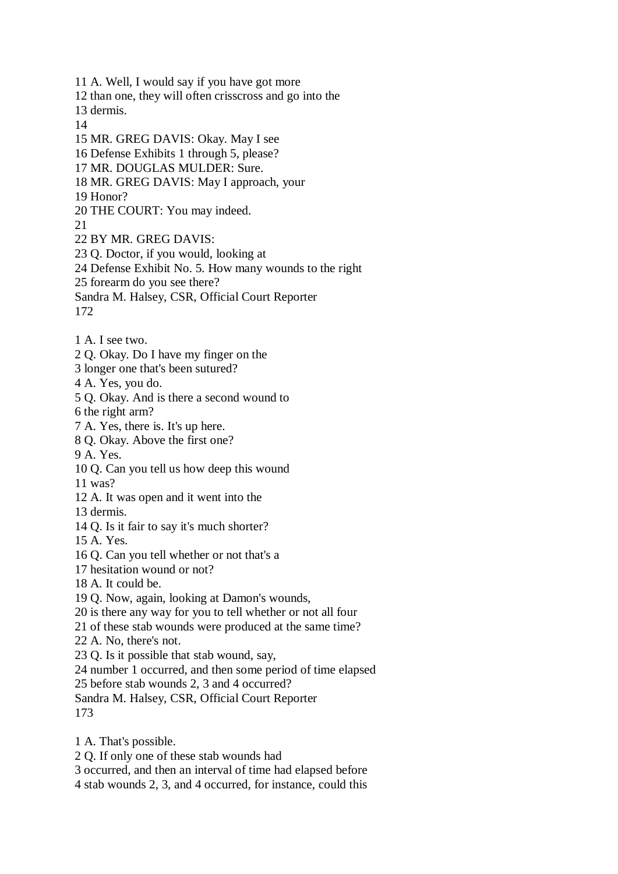11 A. Well, I would say if you have got more 12 than one, they will often crisscross and go into the 13 dermis. 14 15 MR. GREG DAVIS: Okay. May I see 16 Defense Exhibits 1 through 5, please? 17 MR. DOUGLAS MULDER: Sure. 18 MR. GREG DAVIS: May I approach, your 19 Honor? 20 THE COURT: You may indeed. 21 22 BY MR. GREG DAVIS: 23 Q. Doctor, if you would, looking at 24 Defense Exhibit No. 5. How many wounds to the right 25 forearm do you see there? Sandra M. Halsey, CSR, Official Court Reporter 172 1 A. I see two. 2 Q. Okay. Do I have my finger on the 3 longer one that's been sutured? 4 A. Yes, you do. 5 Q. Okay. And is there a second wound to 6 the right arm? 7 A. Yes, there is. It's up here. 8 Q. Okay. Above the first one? 9 A. Yes. 10 Q. Can you tell us how deep this wound 11 was? 12 A. It was open and it went into the 13 dermis. 14 Q. Is it fair to say it's much shorter? 15 A. Yes. 16 Q. Can you tell whether or not that's a 17 hesitation wound or not? 18 A. It could be. 19 Q. Now, again, looking at Damon's wounds, 20 is there any way for you to tell whether or not all four 21 of these stab wounds were produced at the same time? 22 A. No, there's not. 23 Q. Is it possible that stab wound, say, 24 number 1 occurred, and then some period of time elapsed 25 before stab wounds 2, 3 and 4 occurred? Sandra M. Halsey, CSR, Official Court Reporter 173 1 A. That's possible. 2 Q. If only one of these stab wounds had

3 occurred, and then an interval of time had elapsed before

4 stab wounds 2, 3, and 4 occurred, for instance, could this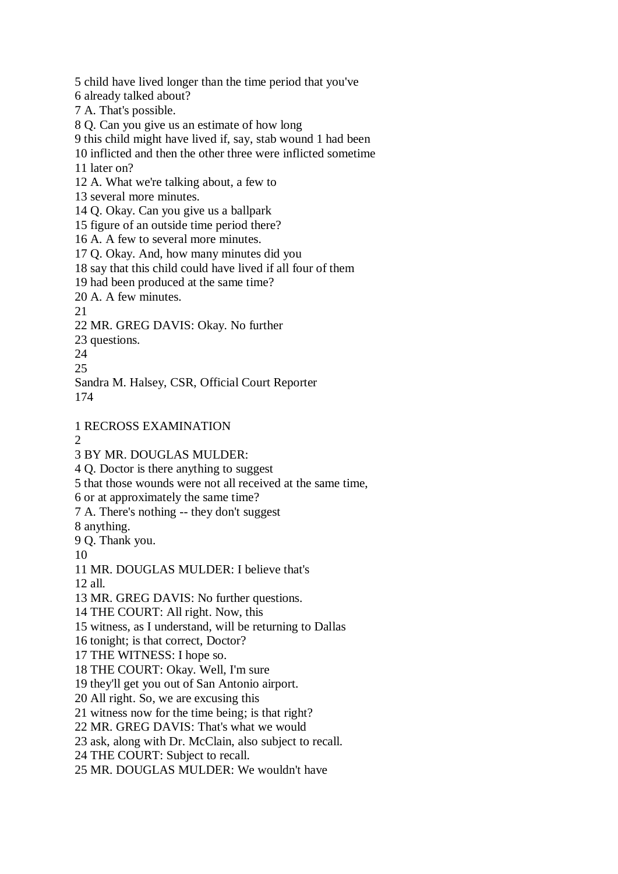5 child have lived longer than the time period that you've 6 already talked about? 7 A. That's possible. 8 Q. Can you give us an estimate of how long 9 this child might have lived if, say, stab wound 1 had been 10 inflicted and then the other three were inflicted sometime 11 later on? 12 A. What we're talking about, a few to 13 several more minutes. 14 Q. Okay. Can you give us a ballpark 15 figure of an outside time period there? 16 A. A few to several more minutes. 17 Q. Okay. And, how many minutes did you 18 say that this child could have lived if all four of them 19 had been produced at the same time? 20 A. A few minutes. 21 22 MR. GREG DAVIS: Okay. No further 23 questions. 24 25 Sandra M. Halsey, CSR, Official Court Reporter 174 1 RECROSS EXAMINATION  $\mathcal{D}$ 3 BY MR. DOUGLAS MULDER: 4 Q. Doctor is there anything to suggest 5 that those wounds were not all received at the same time, 6 or at approximately the same time? 7 A. There's nothing -- they don't suggest 8 anything. 9 Q. Thank you. 10 11 MR. DOUGLAS MULDER: I believe that's 12 all. 13 MR. GREG DAVIS: No further questions. 14 THE COURT: All right. Now, this 15 witness, as I understand, will be returning to Dallas 16 tonight; is that correct, Doctor? 17 THE WITNESS: I hope so. 18 THE COURT: Okay. Well, I'm sure 19 they'll get you out of San Antonio airport. 20 All right. So, we are excusing this 21 witness now for the time being; is that right? 22 MR. GREG DAVIS: That's what we would 23 ask, along with Dr. McClain, also subject to recall. 24 THE COURT: Subject to recall. 25 MR. DOUGLAS MULDER: We wouldn't have